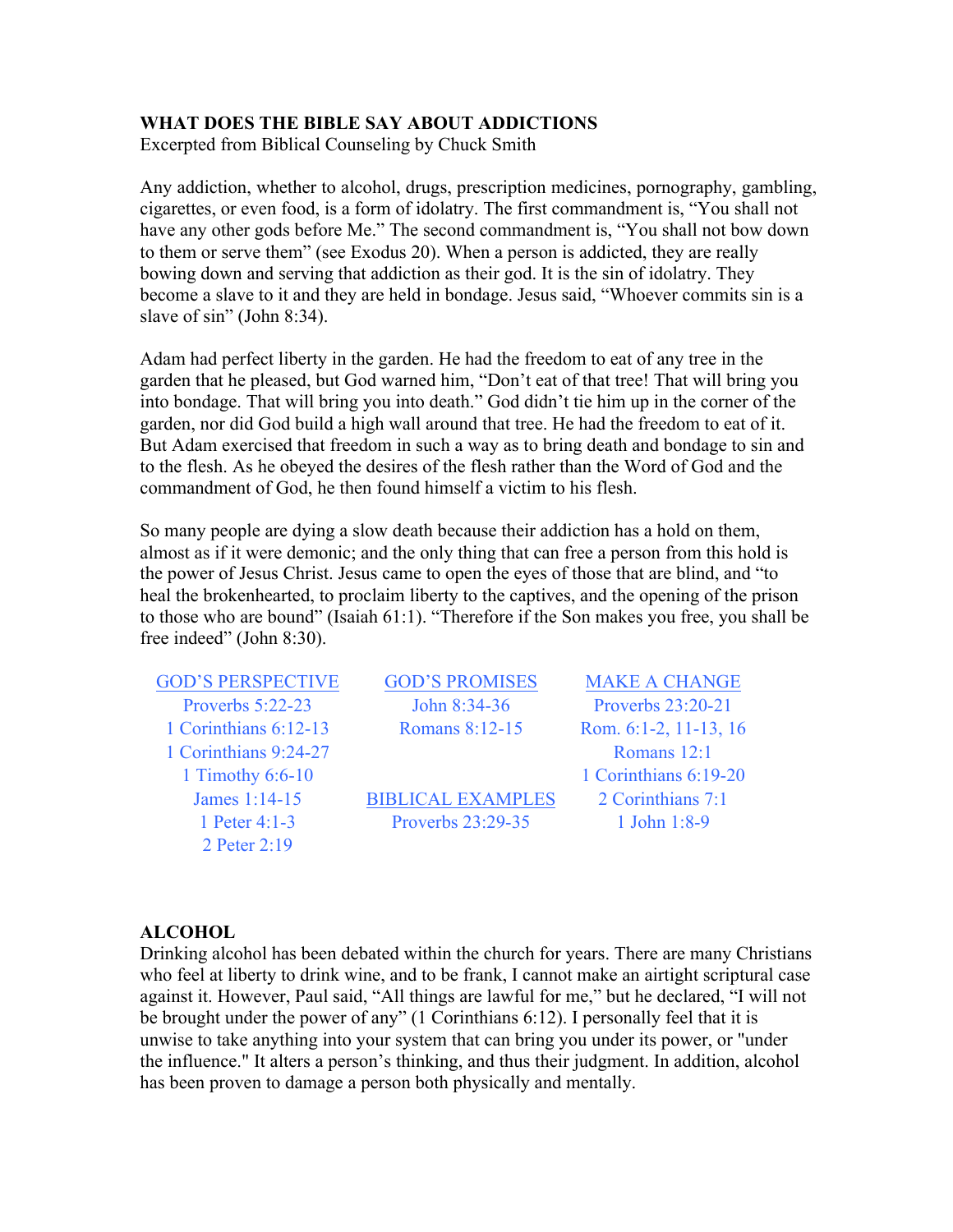### **WHAT DOES THE BIBLE SAY ABOUT ADDICTIONS**

Excerpted from Biblical Counseling by Chuck Smith

Any addiction, whether to alcohol, drugs, prescription medicines, pornography, gambling, cigarettes, or even food, is a form of idolatry. The first commandment is, "You shall not have any other gods before Me." The second commandment is, "You shall not bow down to them or serve them" (see Exodus 20). When a person is addicted, they are really bowing down and serving that addiction as their god. It is the sin of idolatry. They become a slave to it and they are held in bondage. Jesus said, "Whoever commits sin is a slave of sin" (John 8:34).

Adam had perfect liberty in the garden. He had the freedom to eat of any tree in the garden that he pleased, but God warned him, "Don't eat of that tree! That will bring you into bondage. That will bring you into death." God didn't tie him up in the corner of the garden, nor did God build a high wall around that tree. He had the freedom to eat of it. But Adam exercised that freedom in such a way as to bring death and bondage to sin and to the flesh. As he obeyed the desires of the flesh rather than the Word of God and the commandment of God, he then found himself a victim to his flesh.

So many people are dying a slow death because their addiction has a hold on them, almost as if it were demonic; and the only thing that can free a person from this hold is the power of Jesus Christ. Jesus came to open the eyes of those that are blind, and "to heal the brokenhearted, to proclaim liberty to the captives, and the opening of the prison to those who are bound" (Isaiah 61:1). "Therefore if the Son makes you free, you shall be free indeed" (John 8:30).

GOD'S PERSPECTIVE GOD'S PROMISES MAKE A CHANGE Proverbs 5:22-23 John 8:34-36 Proverbs 23:20-21 1 Corinthians 6:12-13 Romans 8:12-15 Rom. 6:1-2, 11-13, 16 1 Corinthians 9:24-27 Romans 12:1 2 Peter 2:19

James 1:14-15 BIBLICAL EXAMPLES 2 Corinthians 7:1 1 Peter 4:1-3 Proverbs 23:29-35 1 John 1:8-9

1 Timothy 6:6-10 1 Corinthians 6:19-20

#### **ALCOHOL**

Drinking alcohol has been debated within the church for years. There are many Christians who feel at liberty to drink wine, and to be frank, I cannot make an airtight scriptural case against it. However, Paul said, "All things are lawful for me," but he declared, "I will not be brought under the power of any" (1 Corinthians 6:12). I personally feel that it is unwise to take anything into your system that can bring you under its power, or "under the influence." It alters a person's thinking, and thus their judgment. In addition, alcohol has been proven to damage a person both physically and mentally.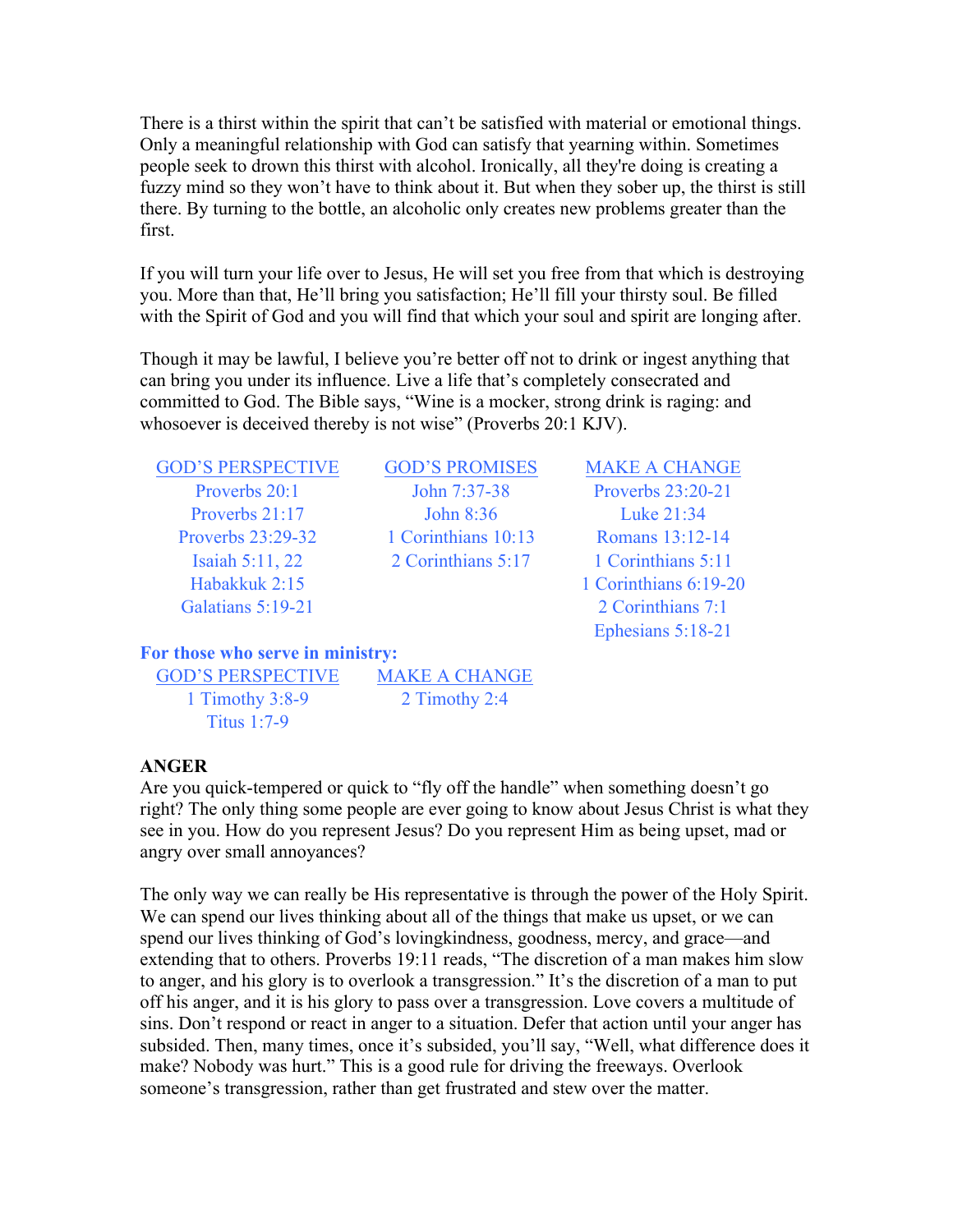There is a thirst within the spirit that can't be satisfied with material or emotional things. Only a meaningful relationship with God can satisfy that yearning within. Sometimes people seek to drown this thirst with alcohol. Ironically, all they're doing is creating a fuzzy mind so they won't have to think about it. But when they sober up, the thirst is still there. By turning to the bottle, an alcoholic only creates new problems greater than the first.

If you will turn your life over to Jesus, He will set you free from that which is destroying you. More than that, He'll bring you satisfaction; He'll fill your thirsty soul. Be filled with the Spirit of God and you will find that which your soul and spirit are longing after.

Though it may be lawful, I believe you're better off not to drink or ingest anything that can bring you under its influence. Live a life that's completely consecrated and committed to God. The Bible says, "Wine is a mocker, strong drink is raging: and whosoever is deceived thereby is not wise" (Proverbs 20:1 KJV).

GOD'S PERSPECTIVE GOD'S PROMISES MAKE A CHANGE Galatians 5:19-21 2 Corinthians 7:1

Proverbs 20:1 John 7:37-38 Proverbs 23:20-21 Proverbs 21:17 John 8:36 Luke 21:34 Proverbs 23:29-32 1 Corinthians 10:13 Romans 13:12-14 Isaiah 5:11, 22 2 Corinthians 5:17 1 Corinthians 5:11

Habakkuk 2:15 1 Corinthians 6:19-20 Ephesians 5:18-21

**For those who serve in ministry:**

GOD'S PERSPECTIVE MAKE A CHANGE 1 Timothy 3:8-9 2 Timothy 2:4 Titus 1:7-9

### **ANGER**

Are you quick-tempered or quick to "fly off the handle" when something doesn't go right? The only thing some people are ever going to know about Jesus Christ is what they see in you. How do you represent Jesus? Do you represent Him as being upset, mad or angry over small annoyances?

The only way we can really be His representative is through the power of the Holy Spirit. We can spend our lives thinking about all of the things that make us upset, or we can spend our lives thinking of God's lovingkindness, goodness, mercy, and grace—and extending that to others. Proverbs 19:11 reads, "The discretion of a man makes him slow to anger, and his glory is to overlook a transgression." It's the discretion of a man to put off his anger, and it is his glory to pass over a transgression. Love covers a multitude of sins. Don't respond or react in anger to a situation. Defer that action until your anger has subsided. Then, many times, once it's subsided, you'll say, "Well, what difference does it make? Nobody was hurt." This is a good rule for driving the freeways. Overlook someone's transgression, rather than get frustrated and stew over the matter.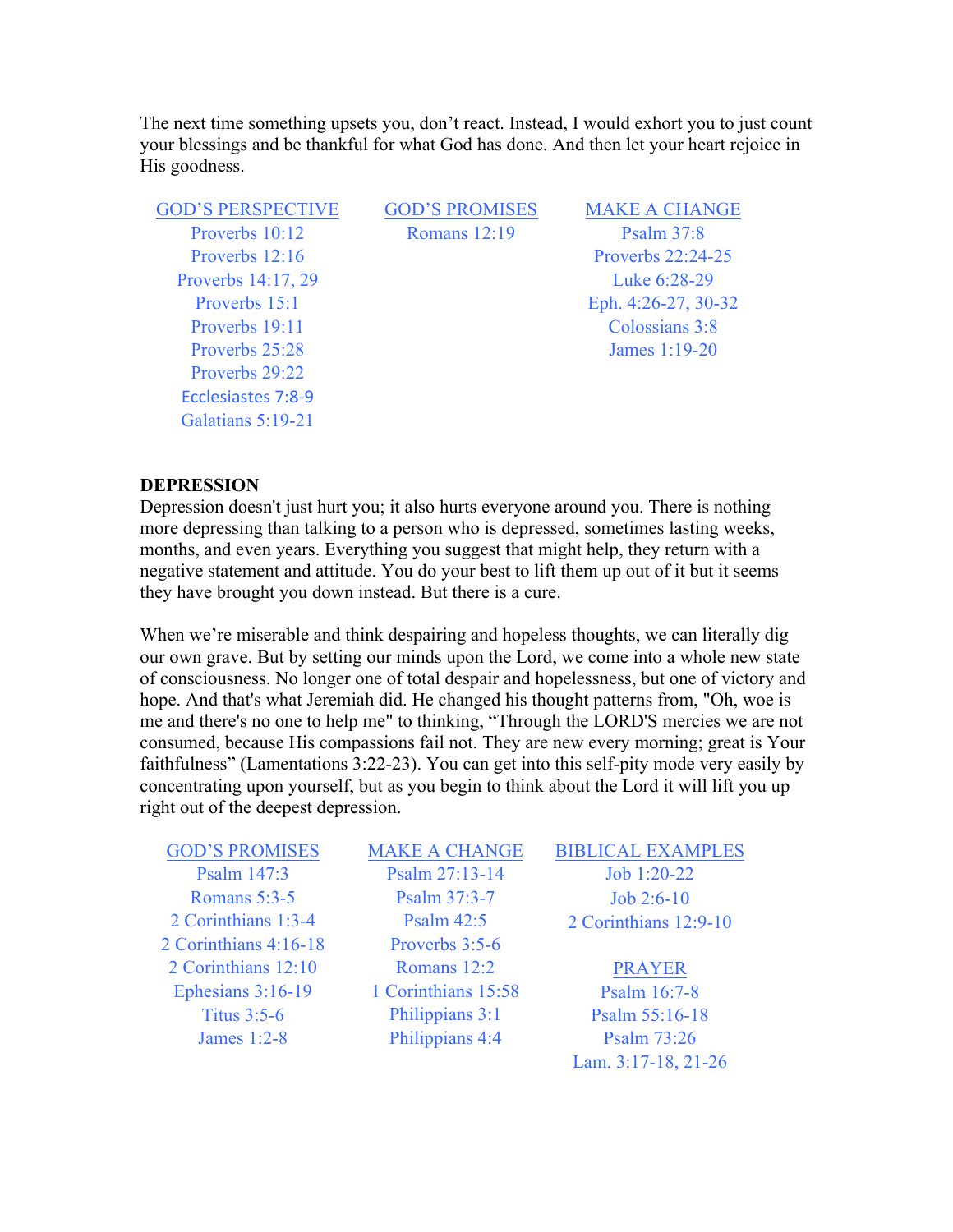The next time something upsets you, don't react. Instead, I would exhort you to just count your blessings and be thankful for what God has done. And then let your heart rejoice in His goodness.

| <b>GOD'S PERSPECTIVE</b> | <b>GOD'S PROMISES</b> | <b>MAKE A CHANGE</b> |
|--------------------------|-----------------------|----------------------|
| Proverbs 10:12           | <b>Romans</b> 12:19   | Psalm $37:8$         |
| Proverbs $12:16$         |                       | Proverbs 22:24-25    |
| Proverbs 14:17, 29       |                       | Luke 6:28-29         |
| Proverbs 15:1            |                       | Eph. 4:26-27, 30-32  |
| Proverbs 19:11           |                       | Colossians 3:8       |
| Proverbs 25:28           |                       | James 1:19-20        |
| Proverbs 29:22           |                       |                      |
| Ecclesiastes 7:8-9       |                       |                      |
| Galatians 5:19-21        |                       |                      |

#### **DEPRESSION**

Depression doesn't just hurt you; it also hurts everyone around you. There is nothing more depressing than talking to a person who is depressed, sometimes lasting weeks, months, and even years. Everything you suggest that might help, they return with a negative statement and attitude. You do your best to lift them up out of it but it seems they have brought you down instead. But there is a cure.

When we're miserable and think despairing and hopeless thoughts, we can literally dig our own grave. But by setting our minds upon the Lord, we come into a whole new state of consciousness. No longer one of total despair and hopelessness, but one of victory and hope. And that's what Jeremiah did. He changed his thought patterns from, "Oh, woe is me and there's no one to help me" to thinking, "Through the LORD'S mercies we are not consumed, because His compassions fail not. They are new every morning; great is Your faithfulness" (Lamentations 3:22-23). You can get into this self-pity mode very easily by concentrating upon yourself, but as you begin to think about the Lord it will lift you up right out of the deepest depression.

| <b>GOD'S PROMISES</b> | <b>MAKE A CHANGE</b> | <b>BIBLICAL EXAMPLES</b> |
|-----------------------|----------------------|--------------------------|
| Psalm 147:3           | Psalm 27:13-14       | Job 1:20-22              |
| Romans $5:3-5$        | Psalm 37:3-7         | $Job 2:6-10$             |
| 2 Corinthians 1:3-4   | <b>Psalm 42:5</b>    | 2 Corinthians 12:9-10    |
| 2 Corinthians 4:16-18 | Proverbs 3:5-6       |                          |
| 2 Corinthians 12:10   | Romans 12:2          | <b>PRAYER</b>            |
| Ephesians 3:16-19     | 1 Corinthians 15:58  | Psalm 16:7-8             |
| <b>Titus 3:5-6</b>    | Philippians 3:1      | Psalm 55:16-18           |
| James 1:2-8           | Philippians 4:4      | Psalm 73:26              |
|                       |                      | Lam. 3:17-18, 21-26      |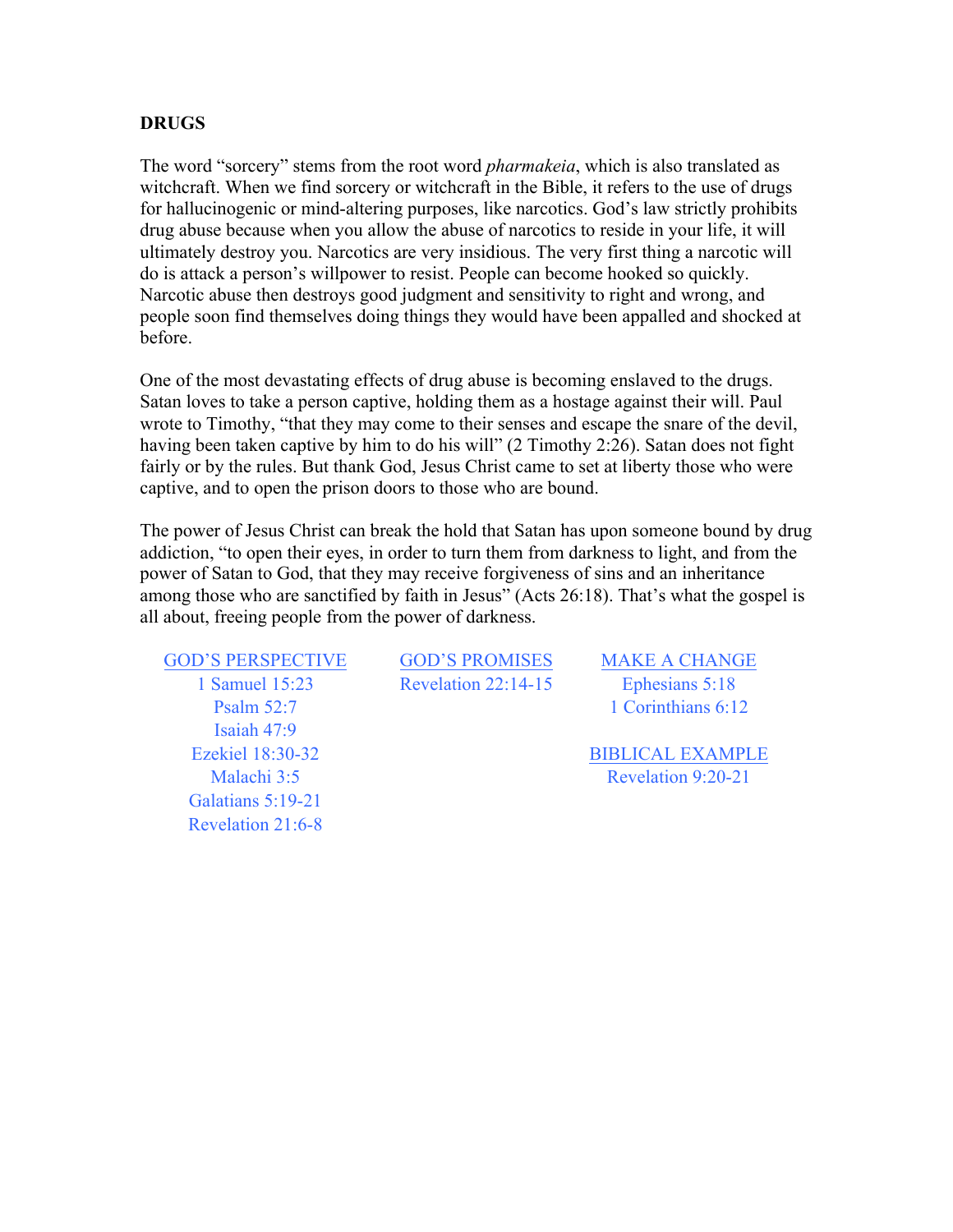#### **DRUGS**

The word "sorcery" stems from the root word *pharmakeia*, which is also translated as witchcraft. When we find sorcery or witchcraft in the Bible, it refers to the use of drugs for hallucinogenic or mind-altering purposes, like narcotics. God's law strictly prohibits drug abuse because when you allow the abuse of narcotics to reside in your life, it will ultimately destroy you. Narcotics are very insidious. The very first thing a narcotic will do is attack a person's willpower to resist. People can become hooked so quickly. Narcotic abuse then destroys good judgment and sensitivity to right and wrong, and people soon find themselves doing things they would have been appalled and shocked at before.

One of the most devastating effects of drug abuse is becoming enslaved to the drugs. Satan loves to take a person captive, holding them as a hostage against their will. Paul wrote to Timothy, "that they may come to their senses and escape the snare of the devil, having been taken captive by him to do his will" (2 Timothy 2:26). Satan does not fight fairly or by the rules. But thank God, Jesus Christ came to set at liberty those who were captive, and to open the prison doors to those who are bound.

The power of Jesus Christ can break the hold that Satan has upon someone bound by drug addiction, "to open their eyes, in order to turn them from darkness to light, and from the power of Satan to God, that they may receive forgiveness of sins and an inheritance among those who are sanctified by faith in Jesus" (Acts 26:18). That's what the gospel is all about, freeing people from the power of darkness.

GOD'S PERSPECTIVE GOD'S PROMISES MAKE A CHANGE Isaiah 47:9 Galatians 5:19-21 Revelation 21:6-8

1 Samuel 15:23 Revelation 22:14-15 Ephesians 5:18

Psalm 52:7 1 Corinthians 6:12

Ezekiel 18:30-32 BIBLICAL EXAMPLE Malachi 3:5 Revelation 9:20-21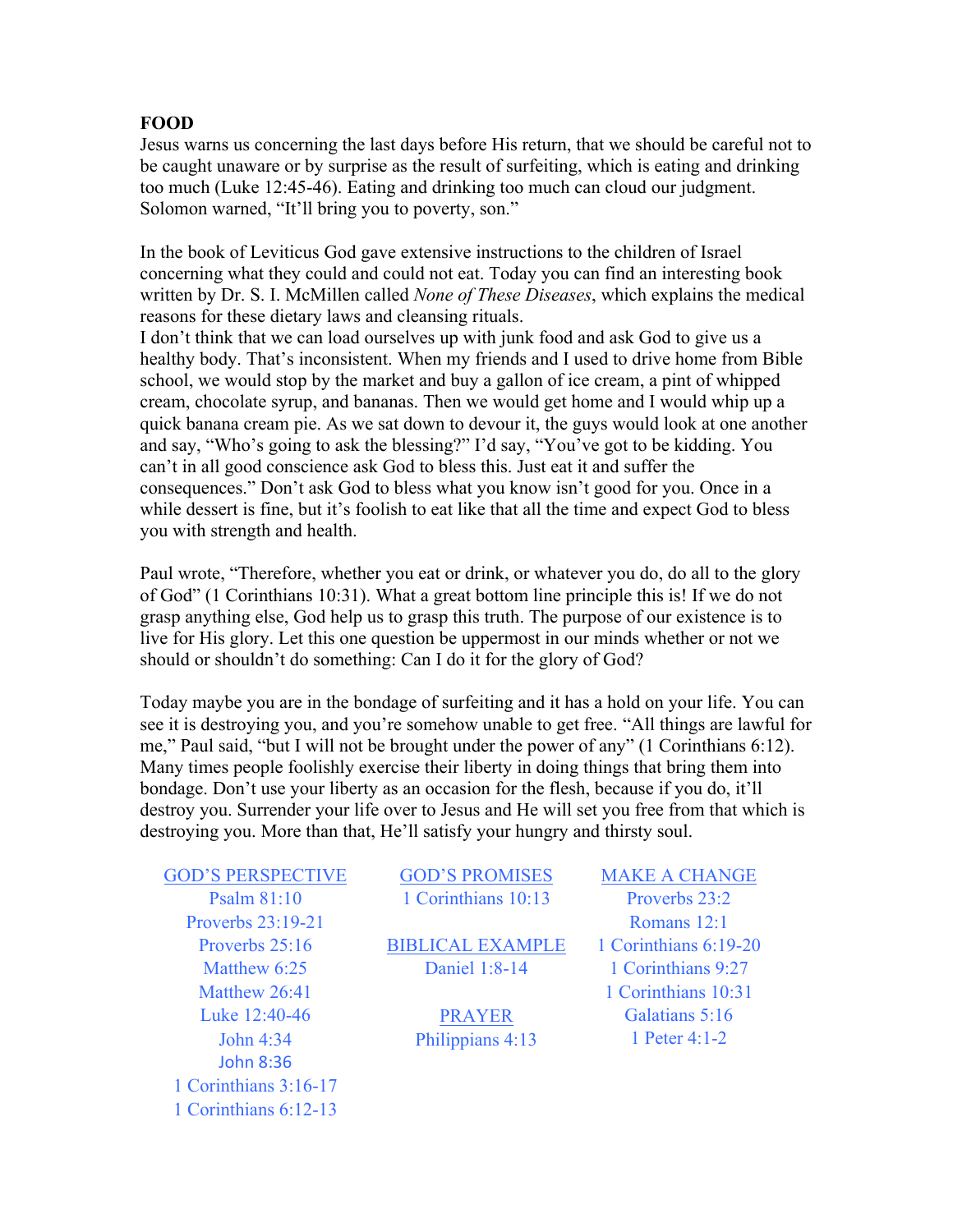### **FOOD**

Jesus warns us concerning the last days before His return, that we should be careful not to be caught unaware or by surprise as the result of surfeiting, which is eating and drinking too much (Luke 12:45-46). Eating and drinking too much can cloud our judgment. Solomon warned, "It'll bring you to poverty, son."

In the book of Leviticus God gave extensive instructions to the children of Israel concerning what they could and could not eat. Today you can find an interesting book written by Dr. S. I. McMillen called *None of These Diseases*, which explains the medical reasons for these dietary laws and cleansing rituals.

I don't think that we can load ourselves up with junk food and ask God to give us a healthy body. That's inconsistent. When my friends and I used to drive home from Bible school, we would stop by the market and buy a gallon of ice cream, a pint of whipped cream, chocolate syrup, and bananas. Then we would get home and I would whip up a quick banana cream pie. As we sat down to devour it, the guys would look at one another and say, "Who's going to ask the blessing?" I'd say, "You've got to be kidding. You can't in all good conscience ask God to bless this. Just eat it and suffer the consequences." Don't ask God to bless what you know isn't good for you. Once in a while dessert is fine, but it's foolish to eat like that all the time and expect God to bless you with strength and health.

Paul wrote, "Therefore, whether you eat or drink, or whatever you do, do all to the glory of God" (1 Corinthians 10:31). What a great bottom line principle this is! If we do not grasp anything else, God help us to grasp this truth. The purpose of our existence is to live for His glory. Let this one question be uppermost in our minds whether or not we should or shouldn't do something: Can I do it for the glory of God?

Today maybe you are in the bondage of surfeiting and it has a hold on your life. You can see it is destroying you, and you're somehow unable to get free. "All things are lawful for me," Paul said, "but I will not be brought under the power of any" (1 Corinthians 6:12). Many times people foolishly exercise their liberty in doing things that bring them into bondage. Don't use your liberty as an occasion for the flesh, because if you do, it'll destroy you. Surrender your life over to Jesus and He will set you free from that which is destroying you. More than that, He'll satisfy your hungry and thirsty soul.

GOD'S PERSPECTIVE GOD'S PROMISES MAKE A CHANGE Proverbs 23:19-21 Romans 12:1 Luke 12:40-46 PRAYER Galatians 5:16 John 4:34 Philippians 4:13 1 Peter 4:1-2 John 8:36 1 Corinthians 3:16-17 1 Corinthians 6:12-13

Psalm 81:10 1 Corinthians 10:13 Proverbs 23:2

Proverbs 25:16 BIBLICAL EXAMPLE 1 Corinthians 6:19-20 Matthew 6:25 **Daniel 1:8-14** 1 Corinthians 9:27

Matthew 26:41 1 Corinthians 10:31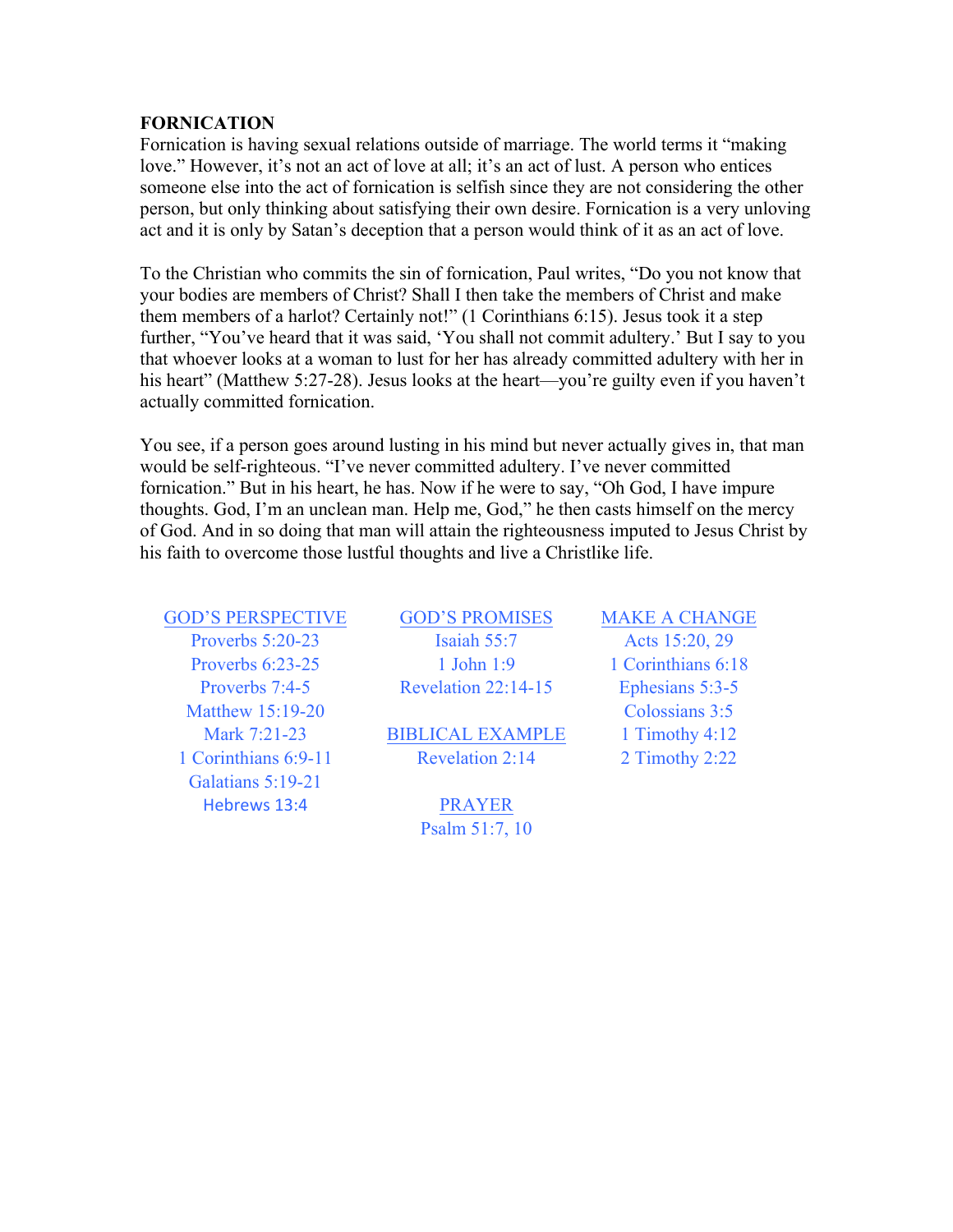#### **FORNICATION**

Fornication is having sexual relations outside of marriage. The world terms it "making love." However, it's not an act of love at all; it's an act of lust. A person who entices someone else into the act of fornication is selfish since they are not considering the other person, but only thinking about satisfying their own desire. Fornication is a very unloving act and it is only by Satan's deception that a person would think of it as an act of love.

To the Christian who commits the sin of fornication, Paul writes, "Do you not know that your bodies are members of Christ? Shall I then take the members of Christ and make them members of a harlot? Certainly not!" (1 Corinthians 6:15). Jesus took it a step further, "You've heard that it was said, 'You shall not commit adultery.' But I say to you that whoever looks at a woman to lust for her has already committed adultery with her in his heart" (Matthew 5:27-28). Jesus looks at the heart—you're guilty even if you haven't actually committed fornication.

You see, if a person goes around lusting in his mind but never actually gives in, that man would be self-righteous. "I've never committed adultery. I've never committed fornication." But in his heart, he has. Now if he were to say, "Oh God, I have impure thoughts. God, I'm an unclean man. Help me, God," he then casts himself on the mercy of God. And in so doing that man will attain the righteousness imputed to Jesus Christ by his faith to overcome those lustful thoughts and live a Christlike life.

| <b>GOD'S PERSPECTIVE</b> | <b>GOD'S PROM</b>      |
|--------------------------|------------------------|
| Proverbs 5:20-23         | Isaiah 55:7            |
| Proverbs 6:23-25         | 1 John 1:9             |
| Proverbs 7:4-5           | <b>Revelation 22:1</b> |
| Matthew 15:19-20         |                        |
| Mark 7:21-23             | <b>BIBLICAL EXA</b>    |
| 1 Corinthians 6:9-11     | <b>Revelation 2:</b>   |
| Galatians 5:19-21        |                        |
| Hebrews 13:4             | <b>PRAYER</b>          |

# GOD'S PROMISES MAKE A CHANGE **Isaiah 55:7** Acts 15:20, 29

BIBLICAL EXAMPLE 1 Timothy 4:12  $Revelation 2:14$  2 Timothy 2:22

Psalm 51:7, 10

1 John 1:9 1 Corinthians 6:18 Revelation  $22:14-15$  Ephesians  $5:3-5$ Colossians 3:5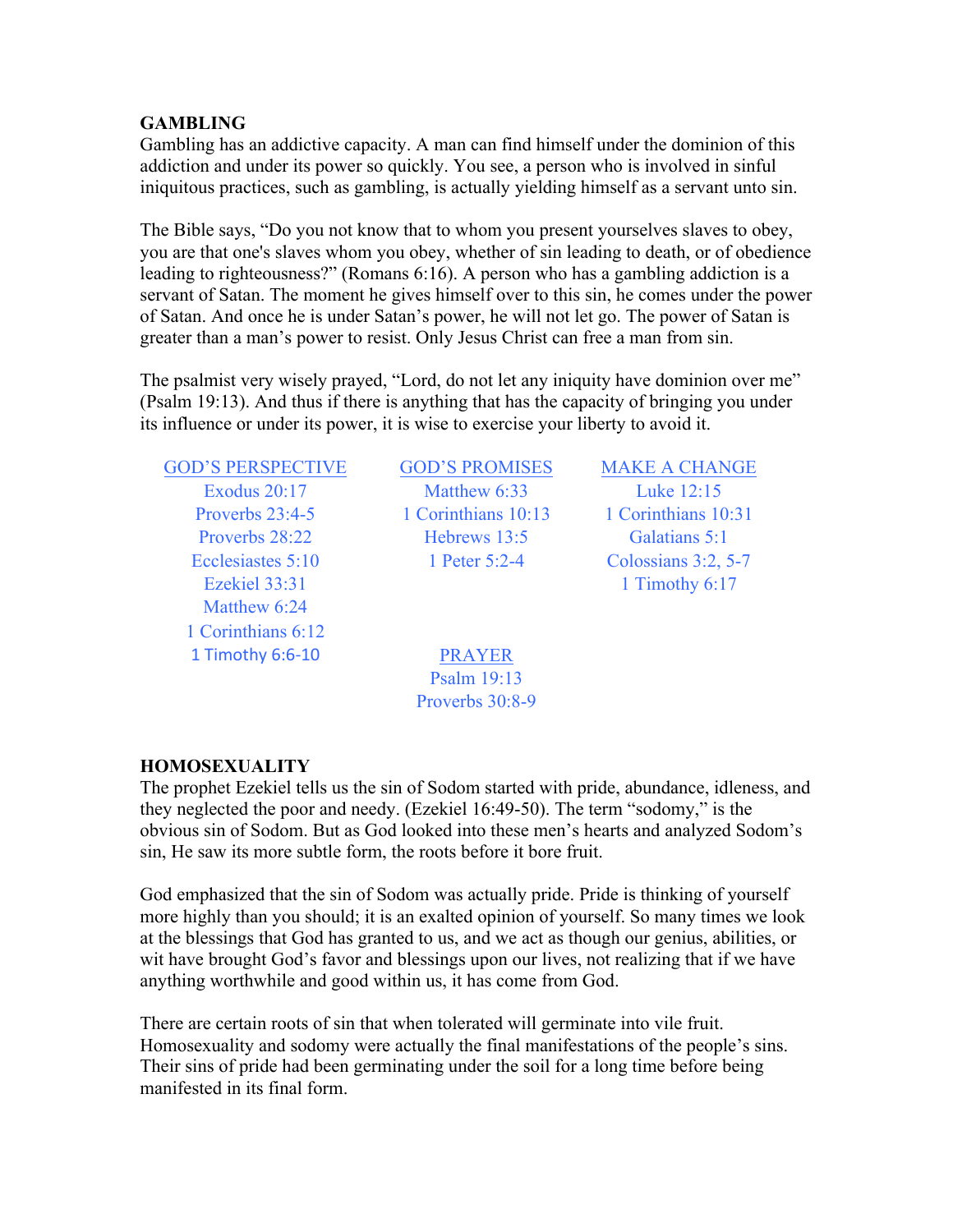### **GAMBLING**

Gambling has an addictive capacity. A man can find himself under the dominion of this addiction and under its power so quickly. You see, a person who is involved in sinful iniquitous practices, such as gambling, is actually yielding himself as a servant unto sin.

The Bible says, "Do you not know that to whom you present yourselves slaves to obey, you are that one's slaves whom you obey, whether of sin leading to death, or of obedience leading to righteousness?" (Romans 6:16). A person who has a gambling addiction is a servant of Satan. The moment he gives himself over to this sin, he comes under the power of Satan. And once he is under Satan's power, he will not let go. The power of Satan is greater than a man's power to resist. Only Jesus Christ can free a man from sin.

The psalmist very wisely prayed, "Lord, do not let any iniquity have dominion over me" (Psalm 19:13). And thus if there is anything that has the capacity of bringing you under its influence or under its power, it is wise to exercise your liberty to avoid it.

GOD'S PERSPECTIVE GOD'S PROMISES MAKE A CHANGE Matthew 6:24 1 Corinthians 6:12 1 Timothy 6:6-10 PRAYER

Exodus 20:17 Matthew 6:33 Luke 12:15 Proverbs 23:4-5 1 Corinthians 10:13 1 Corinthians 10:31 Proverbs 28:22 Hebrews 13:5 Galatians 5:1 Ecclesiastes 5:10 1 Peter 5:2-4 Colossians 3:2, 5-7

Ezekiel 33:31 1 Timothy 6:17

Psalm 19:13 Proverbs 30:8-9

### **HOMOSEXUALITY**

The prophet Ezekiel tells us the sin of Sodom started with pride, abundance, idleness, and they neglected the poor and needy. (Ezekiel 16:49-50). The term "sodomy," is the obvious sin of Sodom. But as God looked into these men's hearts and analyzed Sodom's sin, He saw its more subtle form, the roots before it bore fruit.

God emphasized that the sin of Sodom was actually pride. Pride is thinking of yourself more highly than you should; it is an exalted opinion of yourself. So many times we look at the blessings that God has granted to us, and we act as though our genius, abilities, or wit have brought God's favor and blessings upon our lives, not realizing that if we have anything worthwhile and good within us, it has come from God.

There are certain roots of sin that when tolerated will germinate into vile fruit. Homosexuality and sodomy were actually the final manifestations of the people's sins. Their sins of pride had been germinating under the soil for a long time before being manifested in its final form.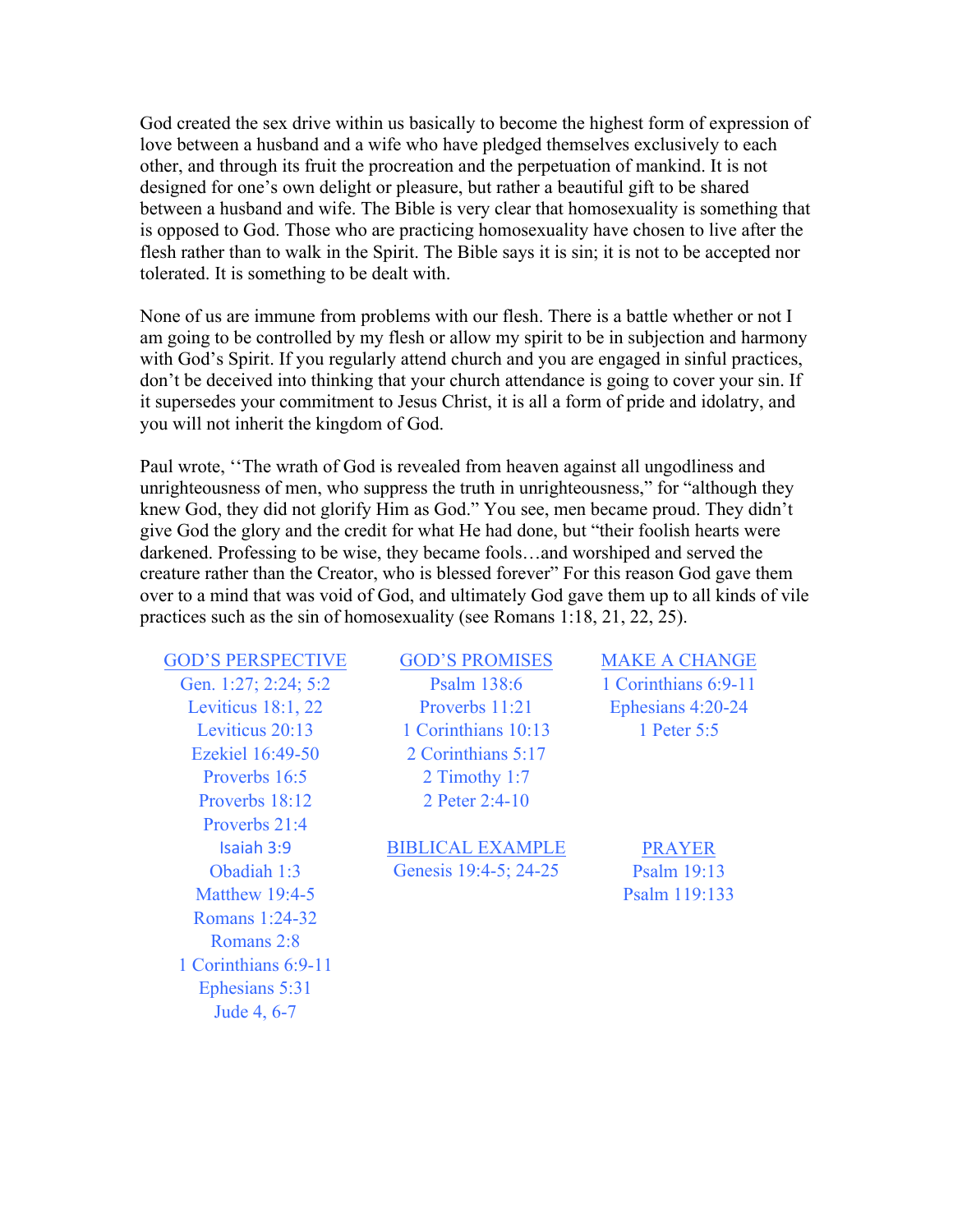God created the sex drive within us basically to become the highest form of expression of love between a husband and a wife who have pledged themselves exclusively to each other, and through its fruit the procreation and the perpetuation of mankind. It is not designed for one's own delight or pleasure, but rather a beautiful gift to be shared between a husband and wife. The Bible is very clear that homosexuality is something that is opposed to God. Those who are practicing homosexuality have chosen to live after the flesh rather than to walk in the Spirit. The Bible says it is sin; it is not to be accepted nor tolerated. It is something to be dealt with.

None of us are immune from problems with our flesh. There is a battle whether or not I am going to be controlled by my flesh or allow my spirit to be in subjection and harmony with God's Spirit. If you regularly attend church and you are engaged in sinful practices, don't be deceived into thinking that your church attendance is going to cover your sin. If it supersedes your commitment to Jesus Christ, it is all a form of pride and idolatry, and you will not inherit the kingdom of God.

Paul wrote, ''The wrath of God is revealed from heaven against all ungodliness and unrighteousness of men, who suppress the truth in unrighteousness," for "although they knew God, they did not glorify Him as God." You see, men became proud. They didn't give God the glory and the credit for what He had done, but "their foolish hearts were darkened. Professing to be wise, they became fools…and worshiped and served the creature rather than the Creator, who is blessed forever" For this reason God gave them over to a mind that was void of God, and ultimately God gave them up to all kinds of vile practices such as the sin of homosexuality (see Romans 1:18, 21, 22, 25).

GOD'S PERSPECTIVE GOD'S PROMISES MAKE A CHANGE Proverbs 18:12 2 Peter 2:4-10 Proverbs 21:4 Matthew 19:4-5 Psalm 119:133 Romans 1:24-32 Romans 2:8 1 Corinthians 6:9-11 Ephesians 5:31 Jude 4, 6-7

Gen. 1:27; 2:24; 5:2 **Psalm 138:6** 1 Corinthians 6:9-11 Leviticus 18:1, 22 Proverbs 11:21 Ephesians 4:20-24 Leviticus 20:13 1 Corinthians 10:13 1 Peter 5:5 Ezekiel 16:49-50 2 Corinthians 5:17 Proverbs 16:5 2 Timothy 1:7

Isaiah 3:9 BIBLICAL EXAMPLE PRAYER Obadiah 1:3 Genesis 19:4-5; 24-25 Psalm 19:13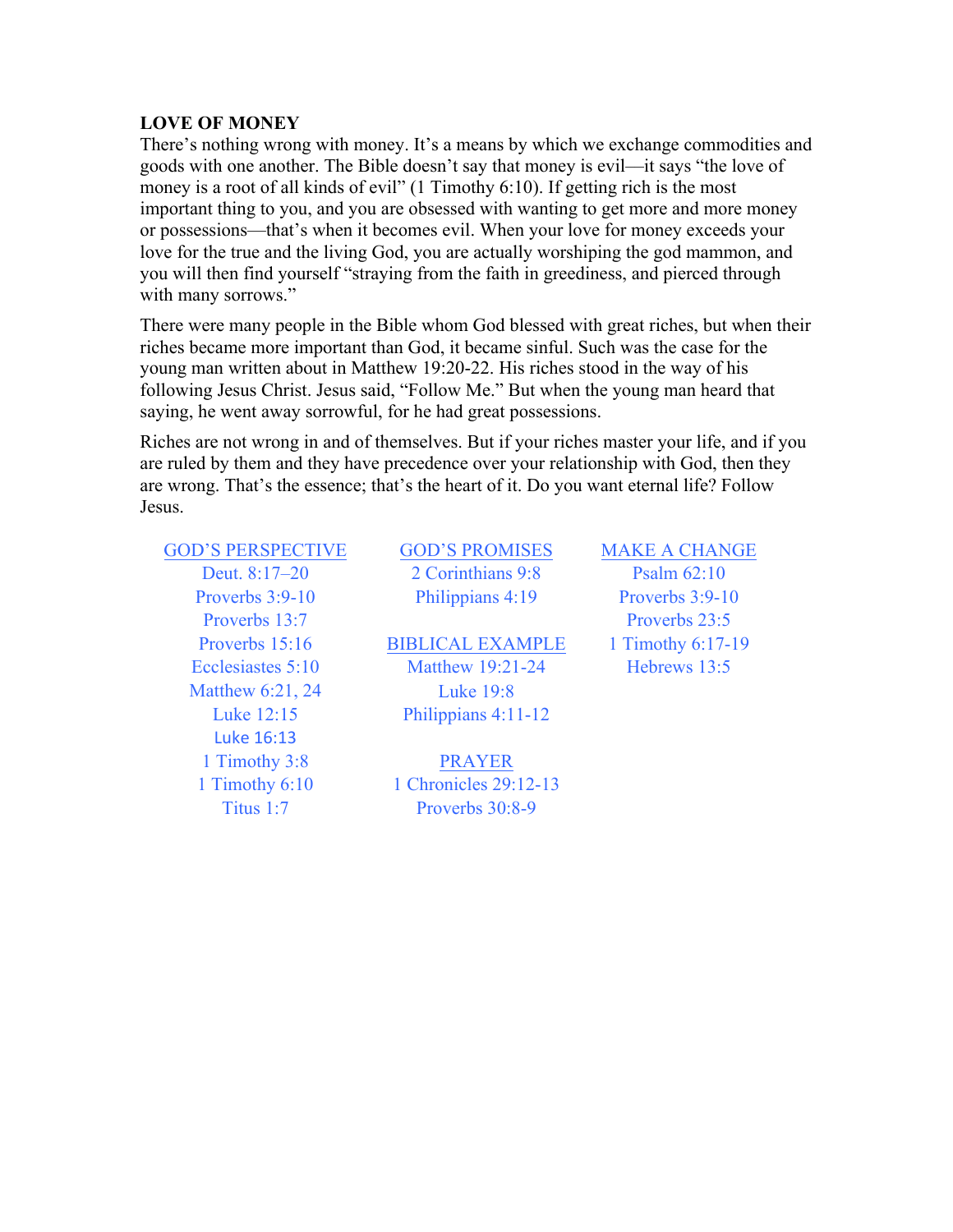#### **LOVE OF MONEY**

There's nothing wrong with money. It's a means by which we exchange commodities and goods with one another. The Bible doesn't say that money is evil––it says "the love of money is a root of all kinds of evil" (1 Timothy 6:10). If getting rich is the most important thing to you, and you are obsessed with wanting to get more and more money or possessions—that's when it becomes evil. When your love for money exceeds your love for the true and the living God, you are actually worshiping the god mammon, and you will then find yourself "straying from the faith in greediness, and pierced through with many sorrows."

There were many people in the Bible whom God blessed with great riches, but when their riches became more important than God, it became sinful. Such was the case for the young man written about in Matthew 19:20-22. His riches stood in the way of his following Jesus Christ. Jesus said, "Follow Me." But when the young man heard that saying, he went away sorrowful, for he had great possessions.

Riches are not wrong in and of themselves. But if your riches master your life, and if you are ruled by them and they have precedence over your relationship with God, then they are wrong. That's the essence; that's the heart of it. Do you want eternal life? Follow Jesus.

## GOD'S PERSPECTIVE GOD'S PROMISES MAKE A CHANGE

Matthew 6:21, 24 Luke 19:8 Luke 16:13

Deut. 8:17–20 2 Corinthians 9:8 Psalm 62:10

Proverbs 15:16 BIBLICAL EXAMPLE 1 Timothy 6:17-19 Ecclesiastes 5:10 Matthew 19:21-24 Hebrews 13:5 Luke 12:15 Philippians 4:11-12

1 Timothy 3:8 PRAYER 1 Timothy 6:10 1 Chronicles 29:12-13 Titus 1:7 Proverbs 30:8-9

Proverbs 3:9-10 Philippians 4:19 Proverbs 3:9-10 Proverbs 13:7 Proverbs 23:5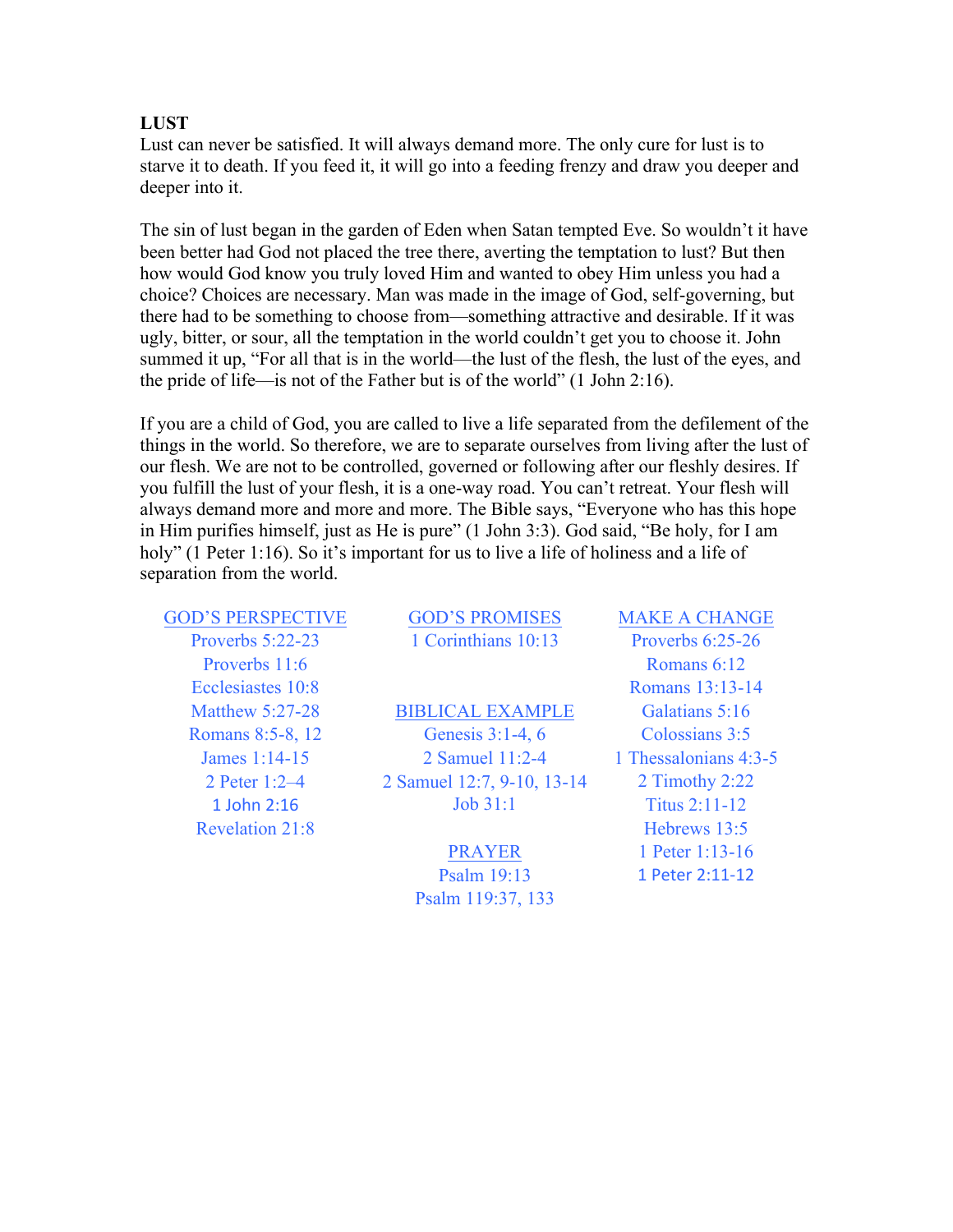#### **LUST**

Lust can never be satisfied. It will always demand more. The only cure for lust is to starve it to death. If you feed it, it will go into a feeding frenzy and draw you deeper and deeper into it.

The sin of lust began in the garden of Eden when Satan tempted Eve. So wouldn't it have been better had God not placed the tree there, averting the temptation to lust? But then how would God know you truly loved Him and wanted to obey Him unless you had a choice? Choices are necessary. Man was made in the image of God, self-governing, but there had to be something to choose from—something attractive and desirable. If it was ugly, bitter, or sour, all the temptation in the world couldn't get you to choose it. John summed it up, "For all that is in the world—the lust of the flesh, the lust of the eyes, and the pride of life—is not of the Father but is of the world" (1 John 2:16).

If you are a child of God, you are called to live a life separated from the defilement of the things in the world. So therefore, we are to separate ourselves from living after the lust of our flesh. We are not to be controlled, governed or following after our fleshly desires. If you fulfill the lust of your flesh, it is a one-way road. You can't retreat. Your flesh will always demand more and more and more. The Bible says, "Everyone who has this hope in Him purifies himself, just as He is pure" (1 John 3:3). God said, "Be holy, for I am holy" (1 Peter 1:16). So it's important for us to live a life of holiness and a life of separation from the world.

GOD'S PERSPECTIVE GOD'S PROMISES MAKE A CHANGE Proverbs 5:22-23 1 Corinthians 10:13 Proverbs 6:25-26 Proverbs 11:6 Romans 6:12 Ecclesiastes 10:8 Romans 13:13-14 1 John 2:16 **Job 31:1** Titus 2:11-12 Revelation 21:8 Hebrews 13:5

# Matthew 5:27-28 BIBLICAL EXAMPLE Galatians 5:16 Romans 8:5-8, 12 Genesis 3:1-4, 6 Colossians 3:5 James 1:14-15 2 Samuel 11:2-4 1 Thessalonians 4:3-5 2 Peter 1:2–4 2 Samuel 12:7, 9-10, 13-14 2 Timothy 2:22

Psalm 119:37, 133

**PRAYER** 1 Peter 1:13-16 Psalm 19:13 1 Peter 2:11-12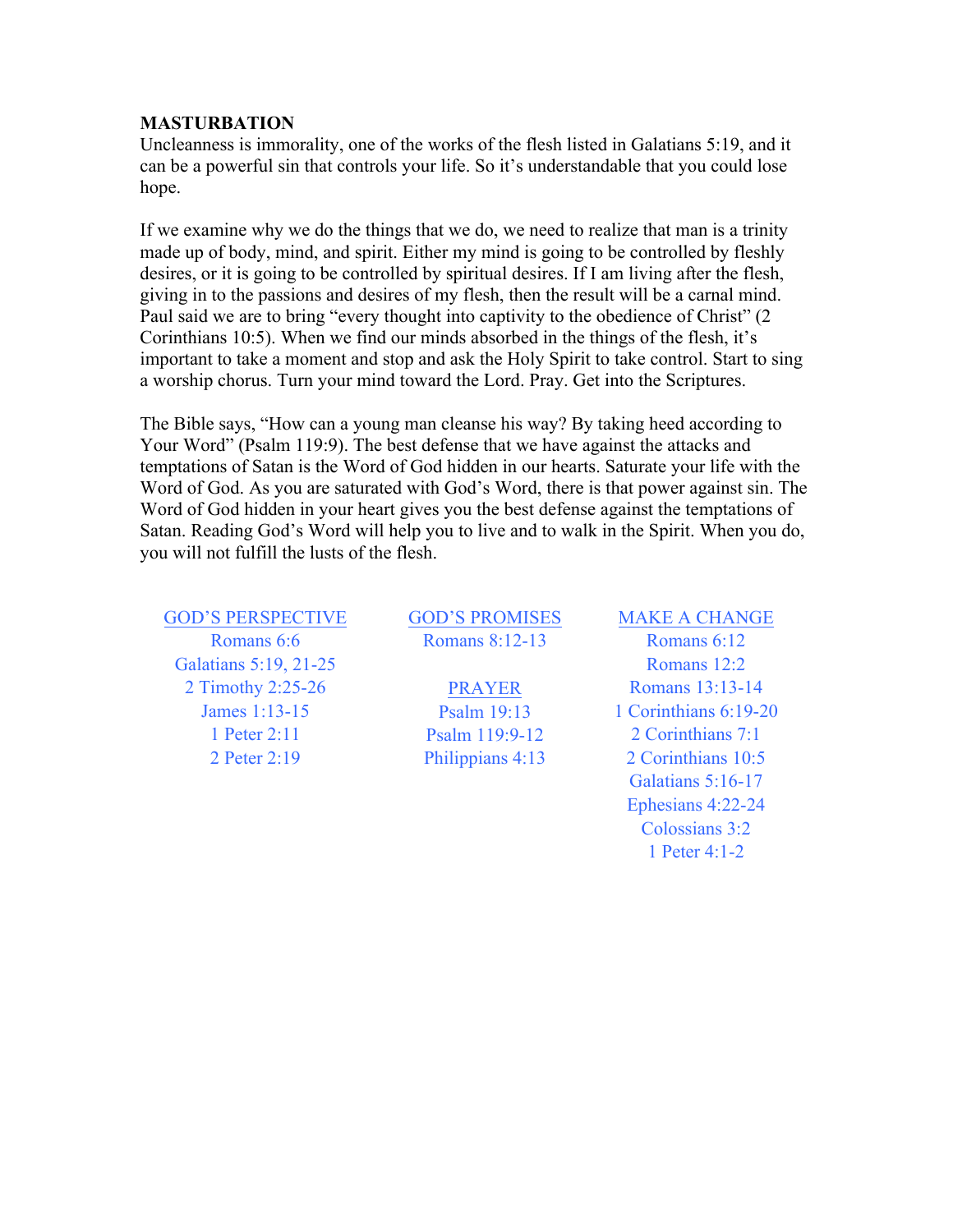#### **MASTURBATION**

Uncleanness is immorality, one of the works of the flesh listed in Galatians 5:19, and it can be a powerful sin that controls your life. So it's understandable that you could lose hope.

If we examine why we do the things that we do, we need to realize that man is a trinity made up of body, mind, and spirit. Either my mind is going to be controlled by fleshly desires, or it is going to be controlled by spiritual desires. If I am living after the flesh, giving in to the passions and desires of my flesh, then the result will be a carnal mind. Paul said we are to bring "every thought into captivity to the obedience of Christ" (2 Corinthians 10:5). When we find our minds absorbed in the things of the flesh, it's important to take a moment and stop and ask the Holy Spirit to take control. Start to sing a worship chorus. Turn your mind toward the Lord. Pray. Get into the Scriptures.

The Bible says, "How can a young man cleanse his way? By taking heed according to Your Word" (Psalm 119:9). The best defense that we have against the attacks and temptations of Satan is the Word of God hidden in our hearts. Saturate your life with the Word of God. As you are saturated with God's Word, there is that power against sin. The Word of God hidden in your heart gives you the best defense against the temptations of Satan. Reading God's Word will help you to live and to walk in the Spirit. When you do, you will not fulfill the lusts of the flesh.

#### GOD'S PERSPECTIVE GOD'S PROMISES MAKE A CHANGE

Galatians 5:19, 21-25 Romans 12:2 2 Timothy 2:25-26 **PRAYER** Romans 13:13-14

Romans 6:6 Romans 8:12-13 Romans 6:12

James 1:13-15 Psalm 19:13 1 Corinthians 6:19-20 1 Peter 2:11 **Psalm 119:9-12** 2 Corinthians 7:1 2 Peter 2:19 Philippians 4:13 2 Corinthians 10:5 Galatians 5:16-17

> Ephesians 4:22-24 Colossians 3:2 1 Peter 4:1-2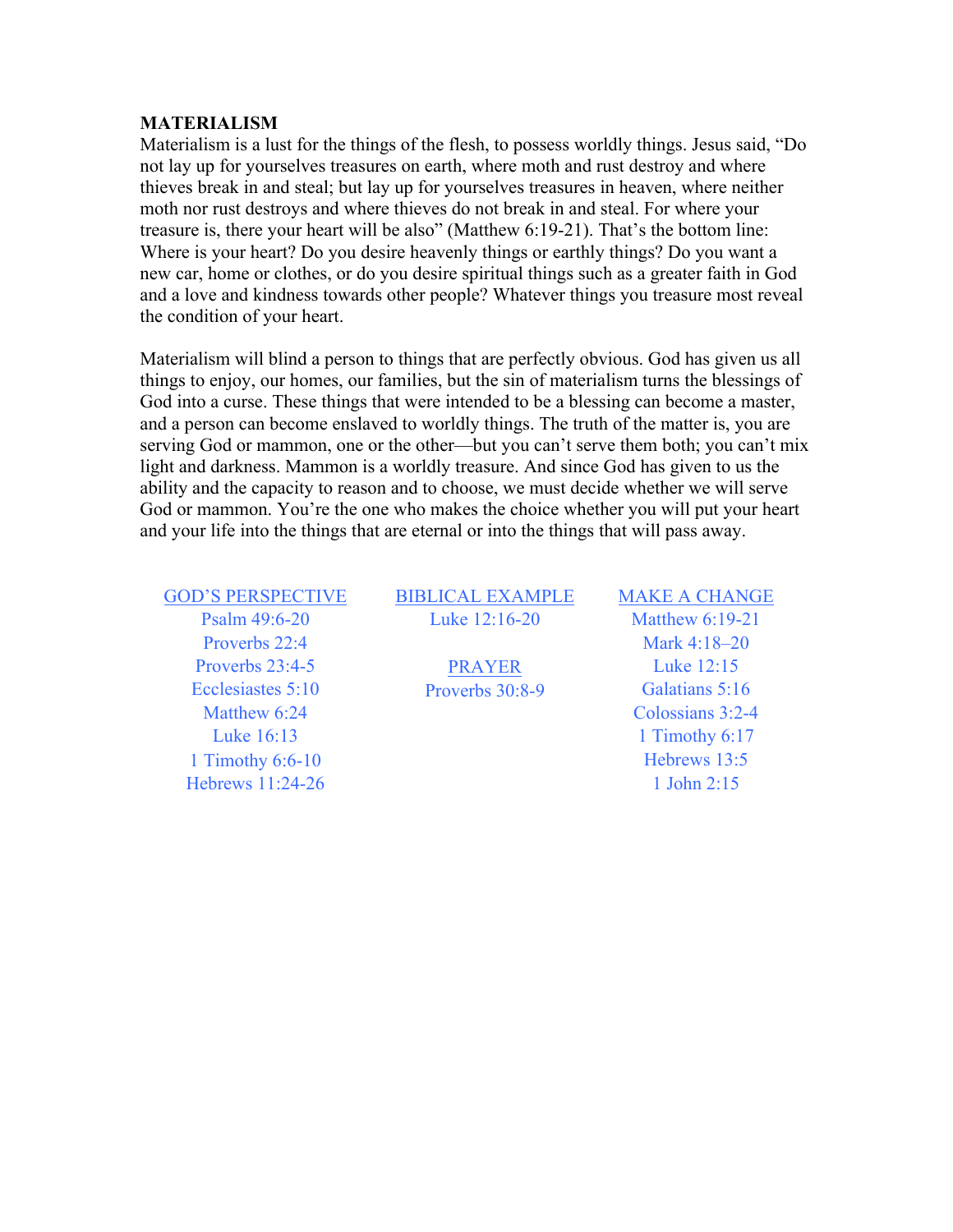#### **MATERIALISM**

Materialism is a lust for the things of the flesh, to possess worldly things. Jesus said, "Do not lay up for yourselves treasures on earth, where moth and rust destroy and where thieves break in and steal; but lay up for yourselves treasures in heaven, where neither moth nor rust destroys and where thieves do not break in and steal. For where your treasure is, there your heart will be also" (Matthew 6:19-21). That's the bottom line: Where is your heart? Do you desire heavenly things or earthly things? Do you want a new car, home or clothes, or do you desire spiritual things such as a greater faith in God and a love and kindness towards other people? Whatever things you treasure most reveal the condition of your heart.

Materialism will blind a person to things that are perfectly obvious. God has given us all things to enjoy, our homes, our families, but the sin of materialism turns the blessings of God into a curse. These things that were intended to be a blessing can become a master, and a person can become enslaved to worldly things. The truth of the matter is, you are serving God or mammon, one or the other—but you can't serve them both; you can't mix light and darkness. Mammon is a worldly treasure. And since God has given to us the ability and the capacity to reason and to choose, we must decide whether we will serve God or mammon. You're the one who makes the choice whether you will put your heart and your life into the things that are eternal or into the things that will pass away.

Proverbs 22:4 Mark 4:18–20 Proverbs 23:4-5 PRAYER Luke 12:15 Ecclesiastes 5:10 Proverbs 30:8-9 Galatians 5:16 1 Timothy 6:6-10 Hebrews 13:5 Hebrews 11:24-26 1 John 2:15

#### GOD'S PERSPECTIVE BIBLICAL EXAMPLE MAKE A CHANGE Psalm 49:6-20 Luke 12:16-20 Matthew 6:19-21

Matthew 6:24 Colossians 3:2-4 Luke 16:13 1 Timothy 6:17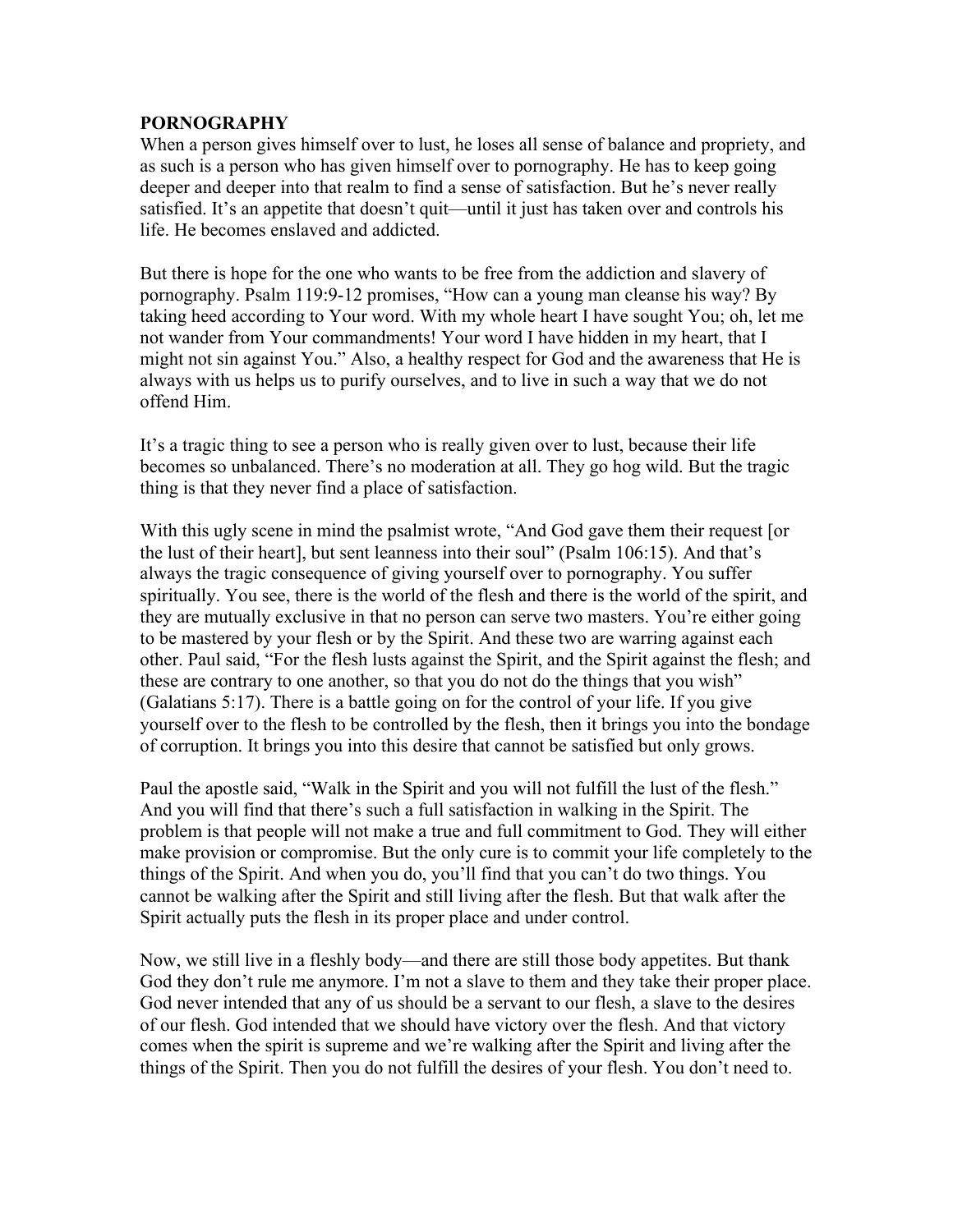#### **PORNOGRAPHY**

When a person gives himself over to lust, he loses all sense of balance and propriety, and as such is a person who has given himself over to pornography. He has to keep going deeper and deeper into that realm to find a sense of satisfaction. But he's never really satisfied. It's an appetite that doesn't quit—until it just has taken over and controls his life. He becomes enslaved and addicted.

But there is hope for the one who wants to be free from the addiction and slavery of pornography. Psalm 119:9-12 promises, "How can a young man cleanse his way? By taking heed according to Your word. With my whole heart I have sought You; oh, let me not wander from Your commandments! Your word I have hidden in my heart, that I might not sin against You." Also, a healthy respect for God and the awareness that He is always with us helps us to purify ourselves, and to live in such a way that we do not offend Him.

It's a tragic thing to see a person who is really given over to lust, because their life becomes so unbalanced. There's no moderation at all. They go hog wild. But the tragic thing is that they never find a place of satisfaction.

With this ugly scene in mind the psalmist wrote, "And God gave them their request [or the lust of their heart], but sent leanness into their soul" (Psalm 106:15). And that's always the tragic consequence of giving yourself over to pornography. You suffer spiritually. You see, there is the world of the flesh and there is the world of the spirit, and they are mutually exclusive in that no person can serve two masters. You're either going to be mastered by your flesh or by the Spirit. And these two are warring against each other. Paul said, "For the flesh lusts against the Spirit, and the Spirit against the flesh; and these are contrary to one another, so that you do not do the things that you wish" (Galatians 5:17). There is a battle going on for the control of your life. If you give yourself over to the flesh to be controlled by the flesh, then it brings you into the bondage of corruption. It brings you into this desire that cannot be satisfied but only grows.

Paul the apostle said, "Walk in the Spirit and you will not fulfill the lust of the flesh." And you will find that there's such a full satisfaction in walking in the Spirit. The problem is that people will not make a true and full commitment to God. They will either make provision or compromise. But the only cure is to commit your life completely to the things of the Spirit. And when you do, you'll find that you can't do two things. You cannot be walking after the Spirit and still living after the flesh. But that walk after the Spirit actually puts the flesh in its proper place and under control.

Now, we still live in a fleshly body—and there are still those body appetites. But thank God they don't rule me anymore. I'm not a slave to them and they take their proper place. God never intended that any of us should be a servant to our flesh, a slave to the desires of our flesh. God intended that we should have victory over the flesh. And that victory comes when the spirit is supreme and we're walking after the Spirit and living after the things of the Spirit. Then you do not fulfill the desires of your flesh. You don't need to.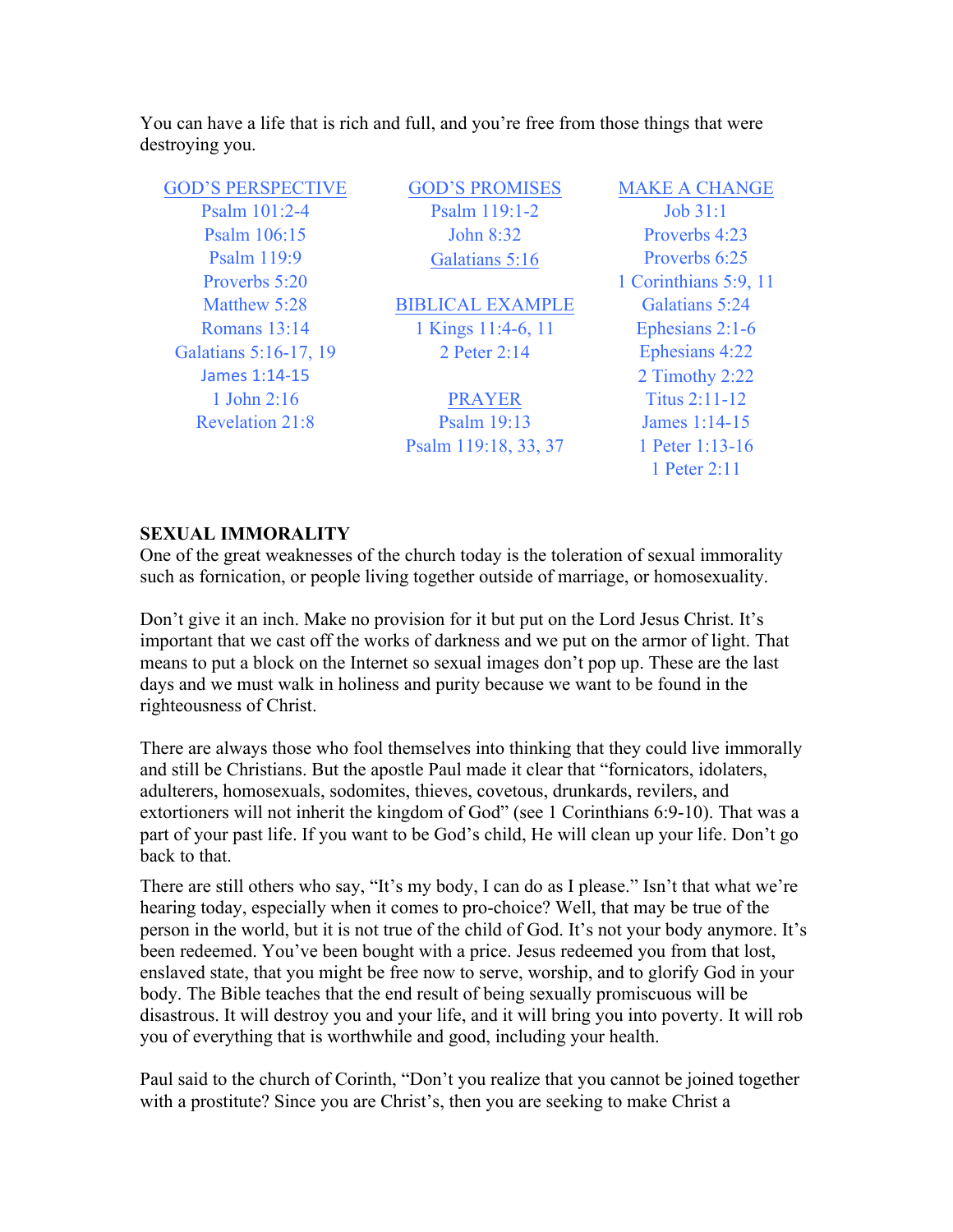You can have a life that is rich and full, and you're free from those things that were destroying you.

| <b>GOD'S PERSPECTIVE</b> | <b>GOD'S PROMISES</b>   | <b>MAKE A CHANGE</b>  |
|--------------------------|-------------------------|-----------------------|
| Psalm 101:2-4            | Psalm 119:1-2           | Job 31:1              |
| Psalm 106:15             | John 8:32               | Proverbs 4:23         |
| Psalm 119:9              | Galatians 5:16          | Proverbs 6.25         |
| Proverbs 5:20            |                         | 1 Corinthians 5:9, 11 |
| Matthew $5.28$           | <b>BIBLICAL EXAMPLE</b> | Galatians 5:24        |
| <b>Romans</b> 13:14      | 1 Kings 11:4-6, 11      | Ephesians 2:1-6       |
| Galatians 5:16-17, 19    | 2 Peter 2:14            | Ephesians 4:22        |
| James 1:14-15            |                         | 2 Timothy 2:22        |
| 1 John 2:16              | <b>PRAYER</b>           | Titus $2:11-12$       |
| <b>Revelation 21:8</b>   | Psalm 19:13             | James 1:14-15         |
|                          | Psalm 119:18, 33, 37    | 1 Peter 1:13-16       |
|                          |                         | 1 Peter 2:11          |
|                          |                         |                       |

#### **SEXUAL IMMORALITY**

One of the great weaknesses of the church today is the toleration of sexual immorality such as fornication, or people living together outside of marriage, or homosexuality.

Don't give it an inch. Make no provision for it but put on the Lord Jesus Christ. It's important that we cast off the works of darkness and we put on the armor of light. That means to put a block on the Internet so sexual images don't pop up. These are the last days and we must walk in holiness and purity because we want to be found in the righteousness of Christ.

There are always those who fool themselves into thinking that they could live immorally and still be Christians. But the apostle Paul made it clear that "fornicators, idolaters, adulterers, homosexuals, sodomites, thieves, covetous, drunkards, revilers, and extortioners will not inherit the kingdom of God" (see 1 Corinthians 6:9-10). That was a part of your past life. If you want to be God's child, He will clean up your life. Don't go back to that.

There are still others who say, "It's my body, I can do as I please." Isn't that what we're hearing today, especially when it comes to pro-choice? Well, that may be true of the person in the world, but it is not true of the child of God. It's not your body anymore. It's been redeemed. You've been bought with a price. Jesus redeemed you from that lost, enslaved state, that you might be free now to serve, worship, and to glorify God in your body. The Bible teaches that the end result of being sexually promiscuous will be disastrous. It will destroy you and your life, and it will bring you into poverty. It will rob you of everything that is worthwhile and good, including your health.

Paul said to the church of Corinth, "Don't you realize that you cannot be joined together with a prostitute? Since you are Christ's, then you are seeking to make Christ a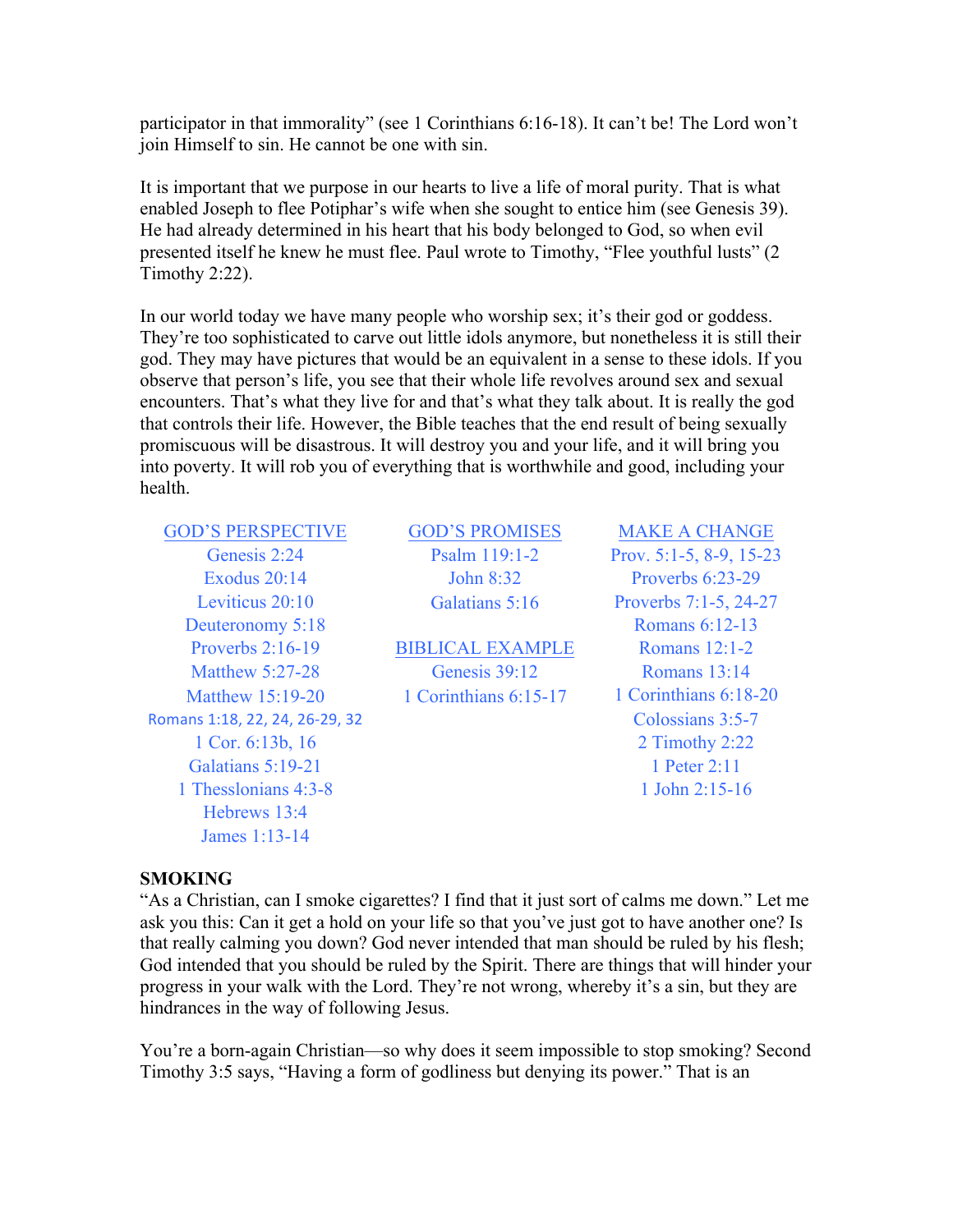participator in that immorality" (see 1 Corinthians 6:16-18). It can't be! The Lord won't join Himself to sin. He cannot be one with sin.

It is important that we purpose in our hearts to live a life of moral purity. That is what enabled Joseph to flee Potiphar's wife when she sought to entice him (see Genesis 39). He had already determined in his heart that his body belonged to God, so when evil presented itself he knew he must flee. Paul wrote to Timothy, "Flee youthful lusts" (2 Timothy 2:22).

In our world today we have many people who worship sex; it's their god or goddess. They're too sophisticated to carve out little idols anymore, but nonetheless it is still their god. They may have pictures that would be an equivalent in a sense to these idols. If you observe that person's life, you see that their whole life revolves around sex and sexual encounters. That's what they live for and that's what they talk about. It is really the god that controls their life. However, the Bible teaches that the end result of being sexually promiscuous will be disastrous. It will destroy you and your life, and it will bring you into poverty. It will rob you of everything that is worthwhile and good, including your health.

GOD'S PERSPECTIVE GOD'S PROMISES MAKE A CHANGE Exodus 20:14 **John 8:32** Proverbs 6:23-29 Leviticus 20:10 Galatians 5:16 Proverbs 7:1-5, 24-27 Deuteronomy 5:18 Romans 6:12-13 Proverbs 2:16-19 BIBLICAL EXAMPLE Romans 12:1-2 Matthew 5:27-28 Genesis 39:12 Romans 13:14 Matthew 15:19-20 1 Corinthians 6:15-17 1 Corinthians 6:18-20 Romans 1:18, 22, 24, 26-29, 32 Colossians 3:5-7 1 Cor. 6:13b, 16 2 Timothy 2:22 Galatians 5:19-21 1 Peter 2:11 1 Thesslonians 4:3-8 1 John 2:15-16 Hebrews 13:4 James 1:13-14

Genesis 2:24 Psalm 119:1-2 Prov. 5:1-5, 8-9, 15-23

### **SMOKING**

"As a Christian, can I smoke cigarettes? I find that it just sort of calms me down." Let me ask you this: Can it get a hold on your life so that you've just got to have another one? Is that really calming you down? God never intended that man should be ruled by his flesh; God intended that you should be ruled by the Spirit. There are things that will hinder your progress in your walk with the Lord. They're not wrong, whereby it's a sin, but they are hindrances in the way of following Jesus.

You're a born-again Christian—so why does it seem impossible to stop smoking? Second Timothy 3:5 says, "Having a form of godliness but denying its power." That is an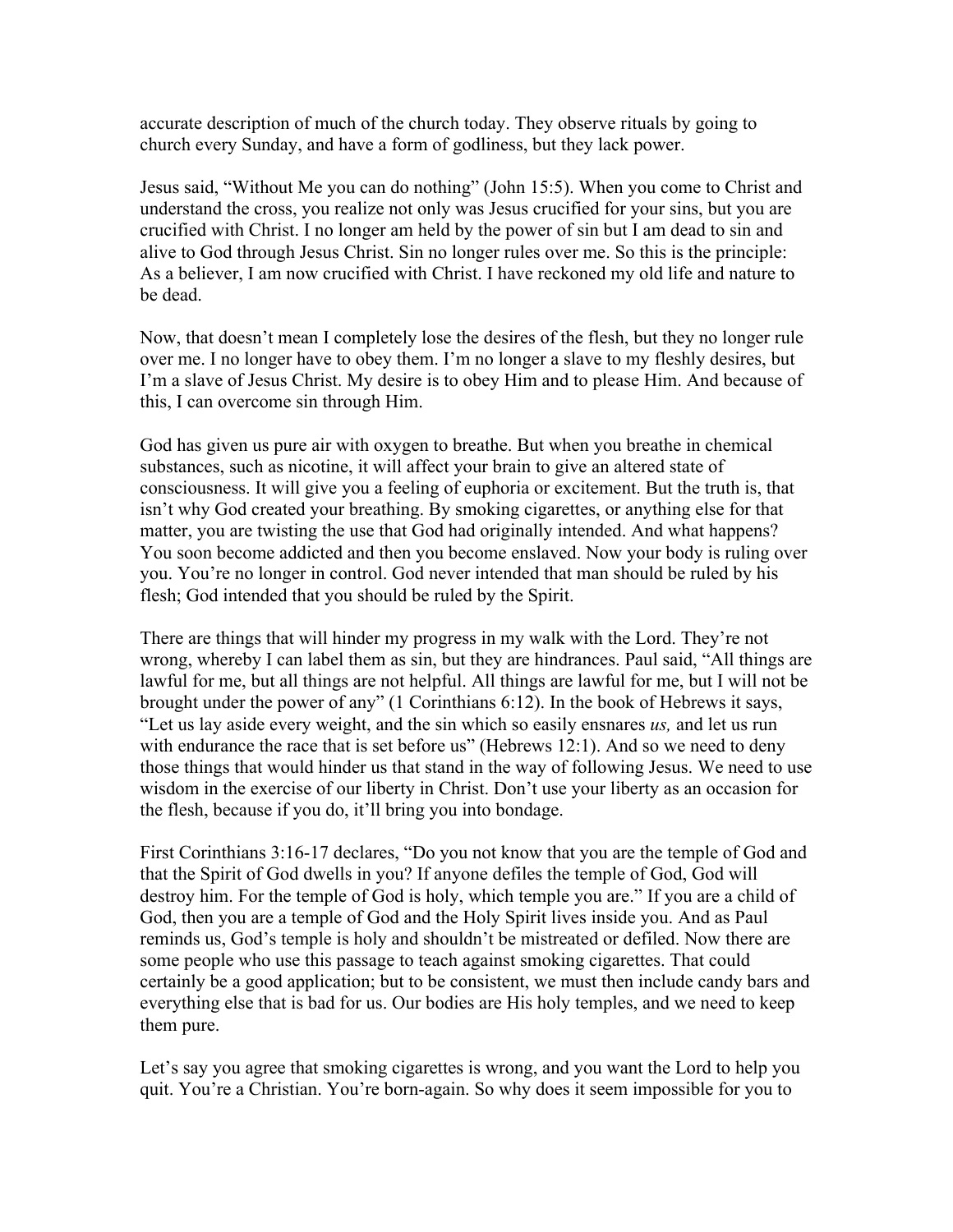accurate description of much of the church today. They observe rituals by going to church every Sunday, and have a form of godliness, but they lack power.

Jesus said, "Without Me you can do nothing" (John 15:5). When you come to Christ and understand the cross, you realize not only was Jesus crucified for your sins, but you are crucified with Christ. I no longer am held by the power of sin but I am dead to sin and alive to God through Jesus Christ. Sin no longer rules over me. So this is the principle: As a believer, I am now crucified with Christ. I have reckoned my old life and nature to be dead.

Now, that doesn't mean I completely lose the desires of the flesh, but they no longer rule over me. I no longer have to obey them. I'm no longer a slave to my fleshly desires, but I'm a slave of Jesus Christ. My desire is to obey Him and to please Him. And because of this, I can overcome sin through Him.

God has given us pure air with oxygen to breathe. But when you breathe in chemical substances, such as nicotine, it will affect your brain to give an altered state of consciousness. It will give you a feeling of euphoria or excitement. But the truth is, that isn't why God created your breathing. By smoking cigarettes, or anything else for that matter, you are twisting the use that God had originally intended. And what happens? You soon become addicted and then you become enslaved. Now your body is ruling over you. You're no longer in control. God never intended that man should be ruled by his flesh; God intended that you should be ruled by the Spirit.

There are things that will hinder my progress in my walk with the Lord. They're not wrong, whereby I can label them as sin, but they are hindrances. Paul said, "All things are lawful for me, but all things are not helpful. All things are lawful for me, but I will not be brought under the power of any" (1 Corinthians 6:12). In the book of Hebrews it says, "Let us lay aside every weight, and the sin which so easily ensnares *us,* and let us run with endurance the race that is set before us" (Hebrews 12:1). And so we need to deny those things that would hinder us that stand in the way of following Jesus. We need to use wisdom in the exercise of our liberty in Christ. Don't use your liberty as an occasion for the flesh, because if you do, it'll bring you into bondage.

First Corinthians 3:16-17 declares, "Do you not know that you are the temple of God and that the Spirit of God dwells in you? If anyone defiles the temple of God, God will destroy him. For the temple of God is holy, which temple you are." If you are a child of God, then you are a temple of God and the Holy Spirit lives inside you. And as Paul reminds us, God's temple is holy and shouldn't be mistreated or defiled. Now there are some people who use this passage to teach against smoking cigarettes. That could certainly be a good application; but to be consistent, we must then include candy bars and everything else that is bad for us. Our bodies are His holy temples, and we need to keep them pure.

Let's say you agree that smoking cigarettes is wrong, and you want the Lord to help you quit. You're a Christian. You're born-again. So why does it seem impossible for you to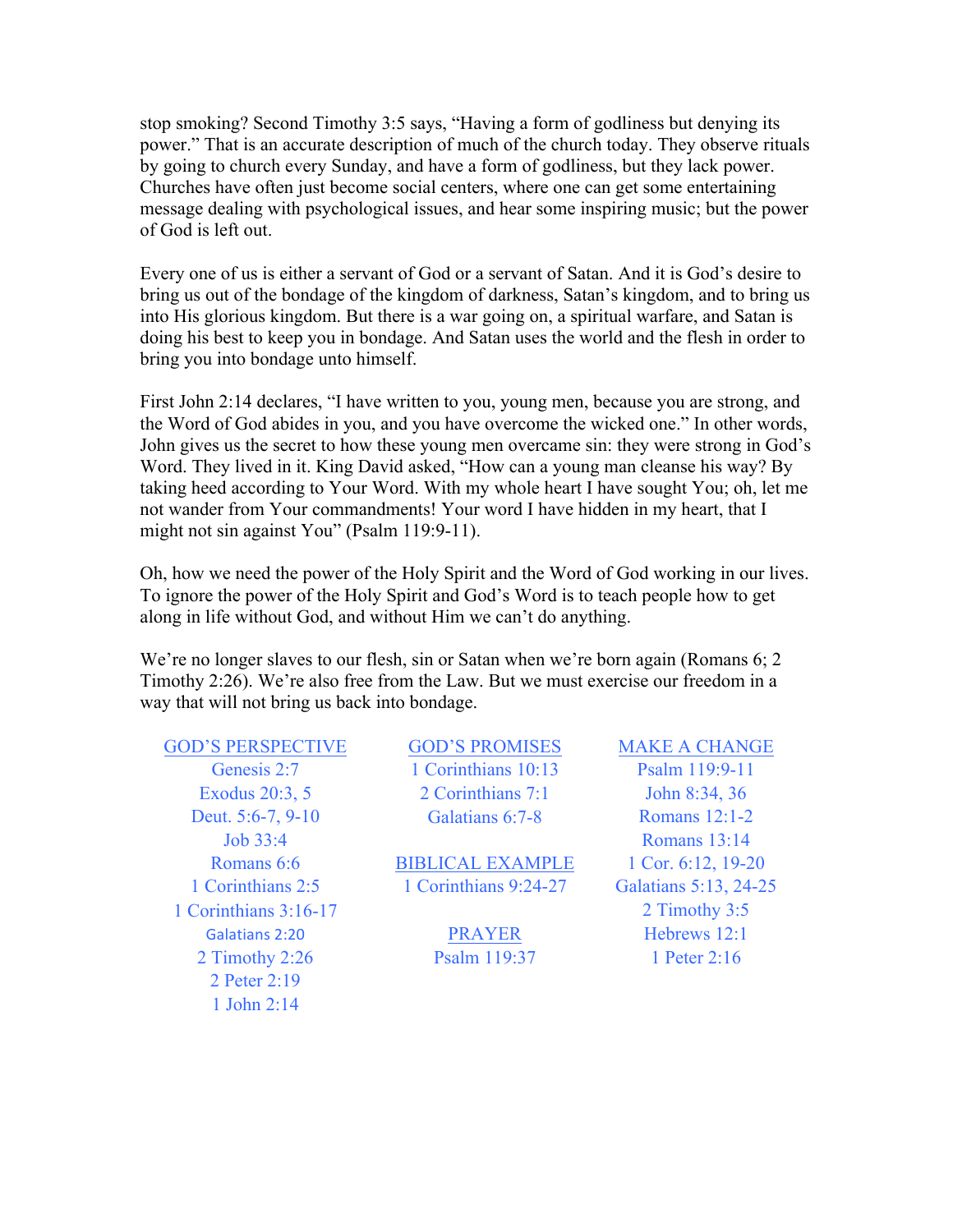stop smoking? Second Timothy 3:5 says, "Having a form of godliness but denying its power." That is an accurate description of much of the church today. They observe rituals by going to church every Sunday, and have a form of godliness, but they lack power. Churches have often just become social centers, where one can get some entertaining message dealing with psychological issues, and hear some inspiring music; but the power of God is left out.

Every one of us is either a servant of God or a servant of Satan. And it is God's desire to bring us out of the bondage of the kingdom of darkness, Satan's kingdom, and to bring us into His glorious kingdom. But there is a war going on, a spiritual warfare, and Satan is doing his best to keep you in bondage. And Satan uses the world and the flesh in order to bring you into bondage unto himself.

First John 2:14 declares, "I have written to you, young men, because you are strong, and the Word of God abides in you, and you have overcome the wicked one." In other words, John gives us the secret to how these young men overcame sin: they were strong in God's Word. They lived in it. King David asked, "How can a young man cleanse his way? By taking heed according to Your Word. With my whole heart I have sought You; oh, let me not wander from Your commandments! Your word I have hidden in my heart, that I might not sin against You" (Psalm 119:9-11).

Oh, how we need the power of the Holy Spirit and the Word of God working in our lives. To ignore the power of the Holy Spirit and God's Word is to teach people how to get along in life without God, and without Him we can't do anything.

We're no longer slaves to our flesh, sin or Satan when we're born again (Romans 6; 2) Timothy 2:26). We're also free from the Law. But we must exercise our freedom in a way that will not bring us back into bondage.

GOD'S PERSPECTIVE GOD'S PROMISES MAKE A CHANGE Deut. 5:6-7, 9-10 Galatians 6:7-8 Romans 12:1-2 1 Corinthians 3:16-17 2 Timothy 3:5 Galatians 2:20 PRAYER Hebrews 12:1 2 Timothy 2:26 Psalm 119:37 1 Peter 2:16 2 Peter 2:19 1 John 2:14

Genesis 2:7 1 Corinthians 10:13 Psalm 119:9-11 Exodus 20:3, 5 2 Corinthians 7:1 John 8:34, 36

Romans 6:6 BIBLICAL EXAMPLE 1 Cor. 6:12, 19-20 1 Corinthians 2:5 1 Corinthians 9:24-27 Galatians 5:13, 24-25

Job 33:4 Romans 13:14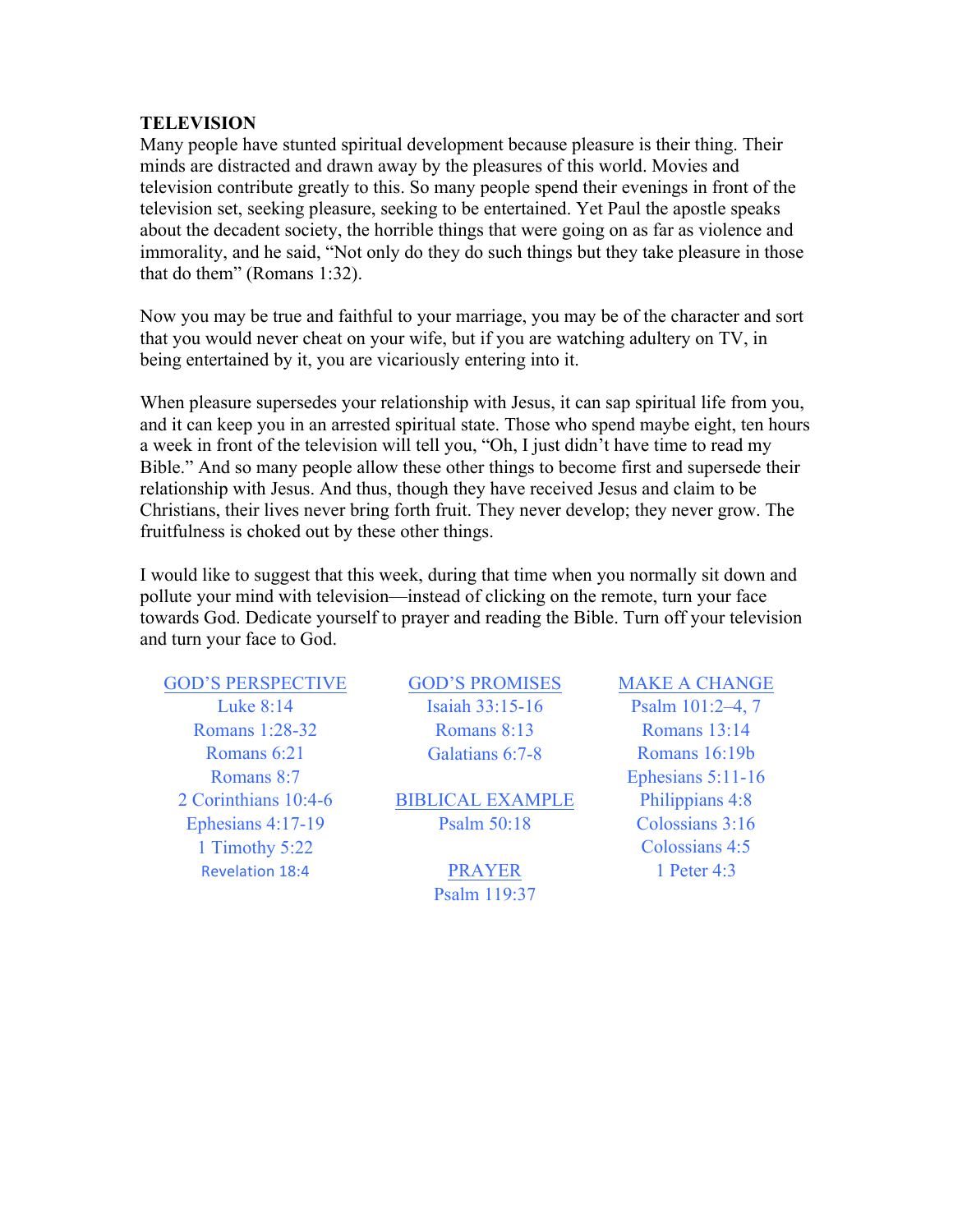#### **TELEVISION**

Many people have stunted spiritual development because pleasure is their thing. Their minds are distracted and drawn away by the pleasures of this world. Movies and television contribute greatly to this. So many people spend their evenings in front of the television set, seeking pleasure, seeking to be entertained. Yet Paul the apostle speaks about the decadent society, the horrible things that were going on as far as violence and immorality, and he said, "Not only do they do such things but they take pleasure in those that do them" (Romans 1:32).

Now you may be true and faithful to your marriage, you may be of the character and sort that you would never cheat on your wife, but if you are watching adultery on TV, in being entertained by it, you are vicariously entering into it.

When pleasure supersedes your relationship with Jesus, it can sap spiritual life from you, and it can keep you in an arrested spiritual state. Those who spend maybe eight, ten hours a week in front of the television will tell you, "Oh, I just didn't have time to read my Bible." And so many people allow these other things to become first and supersede their relationship with Jesus. And thus, though they have received Jesus and claim to be Christians, their lives never bring forth fruit. They never develop; they never grow. The fruitfulness is choked out by these other things.

I would like to suggest that this week, during that time when you normally sit down and pollute your mind with television—instead of clicking on the remote, turn your face towards God. Dedicate yourself to prayer and reading the Bible. Turn off your television and turn your face to God.

GOD'S PERSPECTIVE GOD'S PROMISES MAKE A CHANGE Romans 6:21 Galatians 6:7-8 Romans 16:19b 1 Timothy 5:22 Colossians 4:5 Revelation 18:4 PRAYER 1 Peter 4:3

Luke 8:14 Isaiah 33:15-16 Psalm 101:2-4, 7 Romans 1:28-32 Romans 8:13 Romans 13:14

2 Corinthians 10:4-6 BIBLICAL EXAMPLE Philippians 4:8 Ephesians 4:17-19 Psalm 50:18 Colossians 3:16

Psalm 119:37

Romans 8:7 Ephesians 5:11-16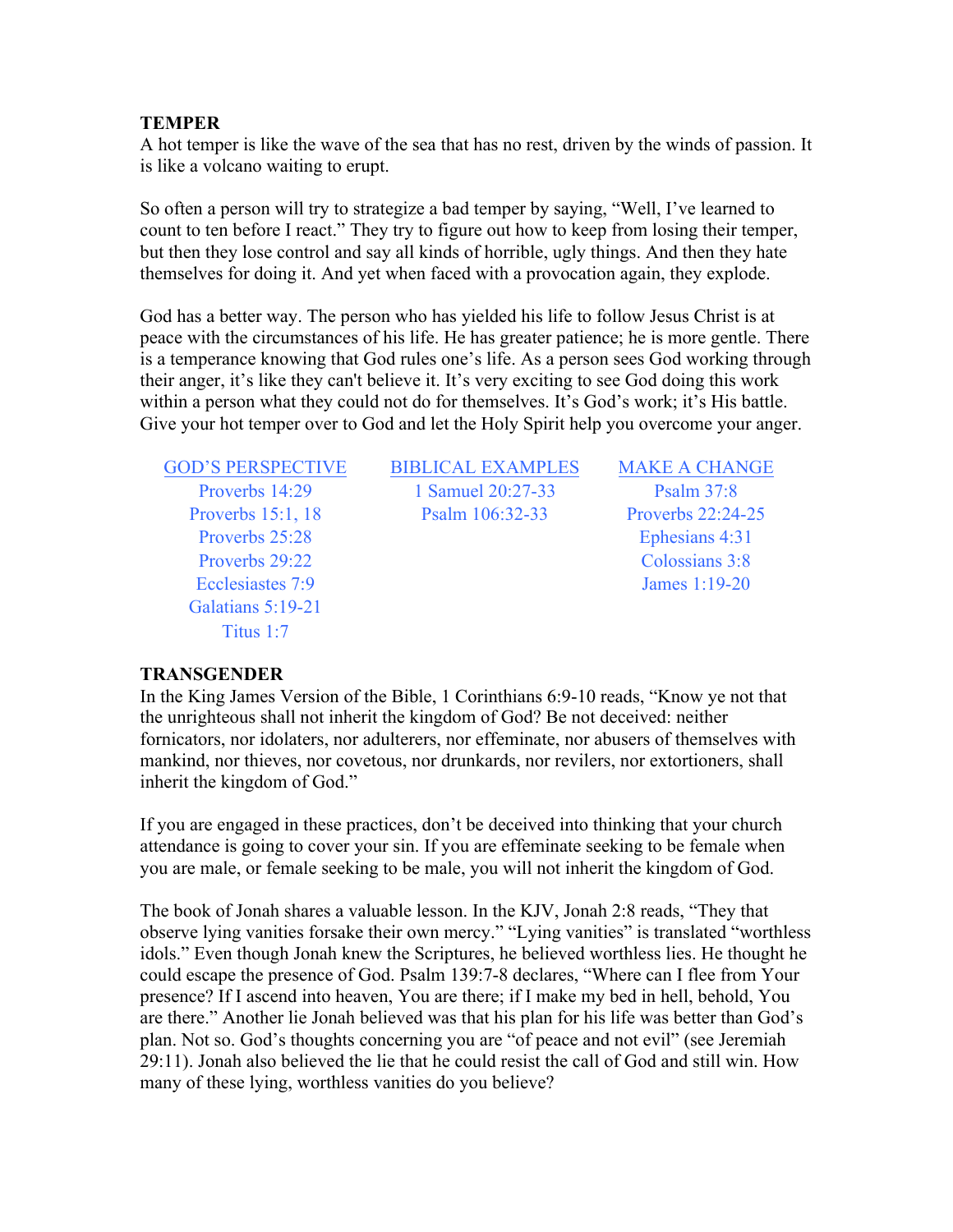#### **TEMPER**

A hot temper is like the wave of the sea that has no rest, driven by the winds of passion. It is like a volcano waiting to erupt.

So often a person will try to strategize a bad temper by saying, "Well, I've learned to count to ten before I react." They try to figure out how to keep from losing their temper, but then they lose control and say all kinds of horrible, ugly things. And then they hate themselves for doing it. And yet when faced with a provocation again, they explode.

God has a better way. The person who has yielded his life to follow Jesus Christ is at peace with the circumstances of his life. He has greater patience; he is more gentle. There is a temperance knowing that God rules one's life. As a person sees God working through their anger, it's like they can't believe it. It's very exciting to see God doing this work within a person what they could not do for themselves. It's God's work; it's His battle. Give your hot temper over to God and let the Holy Spirit help you overcome your anger.

Proverbs 25:28 Ephesians 4:31 Proverbs 29:22 Colossians 3:8 Ecclesiastes 7:9 James 1:19-20 Galatians 5:19-21 Titus 1:7

GOD'S PERSPECTIVE BIBLICAL EXAMPLES MAKE A CHANGE Proverbs 14:29 1 Samuel 20:27-33 Psalm 37:8 Proverbs 15:1, 18 Psalm 106:32-33 Proverbs 22:24-25

#### **TRANSGENDER**

In the King James Version of the Bible, 1 Corinthians 6:9-10 reads, "Know ye not that the unrighteous shall not inherit the kingdom of God? Be not deceived: neither fornicators, nor idolaters, nor adulterers, nor effeminate, nor abusers of themselves with mankind, nor thieves, nor covetous, nor drunkards, nor revilers, nor extortioners, shall inherit the kingdom of God."

If you are engaged in these practices, don't be deceived into thinking that your church attendance is going to cover your sin. If you are effeminate seeking to be female when you are male, or female seeking to be male, you will not inherit the kingdom of God.

The book of Jonah shares a valuable lesson. In the KJV, Jonah 2:8 reads, "They that observe lying vanities forsake their own mercy." "Lying vanities" is translated "worthless idols." Even though Jonah knew the Scriptures, he believed worthless lies. He thought he could escape the presence of God. Psalm 139:7-8 declares, "Where can I flee from Your presence? If I ascend into heaven, You are there; if I make my bed in hell, behold, You are there." Another lie Jonah believed was that his plan for his life was better than God's plan. Not so. God's thoughts concerning you are "of peace and not evil" (see Jeremiah 29:11). Jonah also believed the lie that he could resist the call of God and still win. How many of these lying, worthless vanities do you believe?